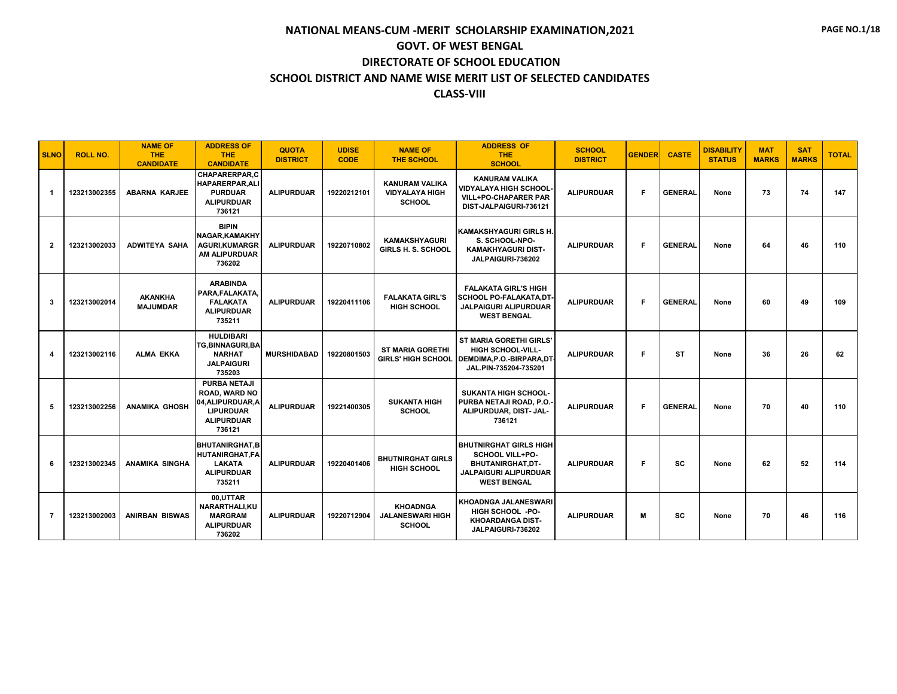| <b>SLNO</b>  | <b>ROLL NO.</b> | <b>NAME OF</b><br><b>THE</b><br><b>CANDIDATE</b> | <b>ADDRESS OF</b><br><b>THE</b><br><b>CANDIDATE</b>                                                                 | <b>QUOTA</b><br><b>DISTRICT</b> | <b>UDISE</b><br><b>CODE</b> | <b>NAME OF</b><br><b>THE SCHOOL</b>                             | <b>ADDRESS OF</b><br><b>THE</b><br><b>SCHOOL</b>                                                                                         | <b>SCHOOL</b><br><b>DISTRICT</b> | <b>GENDER</b> | <b>CASTE</b>   | <b>DISABILITY</b><br><b>STATUS</b> | <b>MAT</b><br><b>MARKS</b> | <b>SAT</b><br><b>MARKS</b> | <b>TOTAL</b> |
|--------------|-----------------|--------------------------------------------------|---------------------------------------------------------------------------------------------------------------------|---------------------------------|-----------------------------|-----------------------------------------------------------------|------------------------------------------------------------------------------------------------------------------------------------------|----------------------------------|---------------|----------------|------------------------------------|----------------------------|----------------------------|--------------|
| -1           | 123213002355    | <b>ABARNA KARJEE</b>                             | <b>CHAPARERPAR.C</b><br><b>HAPARERPAR.ALI</b><br><b>PURDUAR</b><br><b>ALIPURDUAR</b><br>736121                      | <b>ALIPURDUAR</b>               | 19220212101                 | <b>KANURAM VALIKA</b><br><b>VIDYALAYA HIGH</b><br><b>SCHOOL</b> | <b>KANURAM VALIKA</b><br><b>VIDYALAYA HIGH SCHOOL</b><br><b>VILL+PO-CHAPARER PAR</b><br>DIST-JALPAIGURI-736121                           | <b>ALIPURDUAR</b>                | F             | <b>GENERAL</b> | None                               | 73                         | 74                         | 147          |
| $\mathbf{2}$ | 123213002033    | <b>ADWITEYA SAHA</b>                             | <b>BIPIN</b><br><b>NAGAR.KAMAKHY</b><br><b>AGURI,KUMARGR</b><br><b>AM ALIPURDUAR</b><br>736202                      | <b>ALIPURDUAR</b>               | 19220710802                 | <b>KAMAKSHYAGURI</b><br><b>GIRLS H. S. SCHOOL</b>               | <b>KAMAKSHYAGURI GIRLS H.</b><br>S. SCHOOL-NPO-<br><b>KAMAKHYAGURI DIST-</b><br>JALPAIGURI-736202                                        | <b>ALIPURDUAR</b>                | F             | <b>GENERAL</b> | None                               | 64                         | 46                         | 110          |
| 3            | 123213002014    | <b>AKANKHA</b><br><b>MAJUMDAR</b>                | <b>ARABINDA</b><br>PARA.FALAKATA.<br><b>FALAKATA</b><br><b>ALIPURDUAR</b><br>735211                                 | <b>ALIPURDUAR</b>               | 19220411106                 | <b>FALAKATA GIRL'S</b><br><b>HIGH SCHOOL</b>                    | <b>FALAKATA GIRL'S HIGH</b><br><b>SCHOOL PO-FALAKATA.DT</b><br><b>JALPAIGURI ALIPURDUAR</b><br><b>WEST BENGAL</b>                        | <b>ALIPURDUAR</b>                | F             | <b>GENERAL</b> | None                               | 60                         | 49                         | 109          |
| 4            | 123213002116    | <b>ALMA EKKA</b>                                 | <b>HULDIBARI</b><br><b>TG.BINNAGURI.BA</b><br><b>NARHAT</b><br><b>JALPAIGURI</b><br>735203                          | <b>MURSHIDABAD</b>              | 19220801503                 | <b>ST MARIA GORETHI</b><br><b>GIRLS' HIGH SCHOOL</b>            | <b>ST MARIA GORETHI GIRLS'</b><br><b>HIGH SCHOOL-VILL-</b><br>DEMDIMA, P.O.-BIRPARA, DT<br>JAL.PIN-735204-735201                         | <b>ALIPURDUAR</b>                | F             | <b>ST</b>      | None                               | 36                         | 26                         | 62           |
| 5            | 123213002256    | <b>ANAMIKA GHOSH</b>                             | <b>PURBA NETAJI</b><br><b>ROAD, WARD NO</b><br>04, ALIPURDUAR, A<br><b>LIPURDUAR</b><br><b>ALIPURDUAR</b><br>736121 | <b>ALIPURDUAR</b>               | 19221400305                 | <b>SUKANTA HIGH</b><br><b>SCHOOL</b>                            | <b>SUKANTA HIGH SCHOOL-</b><br>PURBA NETAJI ROAD, P.O.<br>ALIPURDUAR, DIST- JAL-<br>736121                                               | <b>ALIPURDUAR</b>                | F             | <b>GENERAL</b> | None                               | 70                         | 40                         | 110          |
| 6            | 123213002345    | <b>ANAMIKA SINGHA</b>                            | <b>BHUTANIRGHAT.B</b><br><b>HUTANIRGHAT.FA</b><br><b>LAKATA</b><br><b>ALIPURDUAR</b><br>735211                      | <b>ALIPURDUAR</b>               | 19220401406                 | <b>BHUTNIRGHAT GIRLS</b><br><b>HIGH SCHOOL</b>                  | <b>BHUTNIRGHAT GIRLS HIGH</b><br><b>SCHOOL VILL+PO-</b><br><b>BHUTANIRGHAT.DT-</b><br><b>JALPAIGURI ALIPURDUAR</b><br><b>WEST BENGAL</b> | <b>ALIPURDUAR</b>                | F             | <b>SC</b>      | None                               | 62                         | 52                         | 114          |
| 7            | 123213002003    | <b>ANIRBAN BISWAS</b>                            | 00,UTTAR<br>NARARTHALI, KU<br><b>MARGRAM</b><br><b>ALIPURDUAR</b><br>736202                                         | <b>ALIPURDUAR</b>               | 19220712904                 | <b>KHOADNGA</b><br><b>JALANESWARI HIGH</b><br><b>SCHOOL</b>     | <b>KHOADNGA JALANESWARI</b><br><b>HIGH SCHOOL -PO-</b><br><b>KHOARDANGA DIST-</b><br>JALPAIGURI-736202                                   | <b>ALIPURDUAR</b>                | M             | <b>SC</b>      | None                               | 70                         | 46                         | 116          |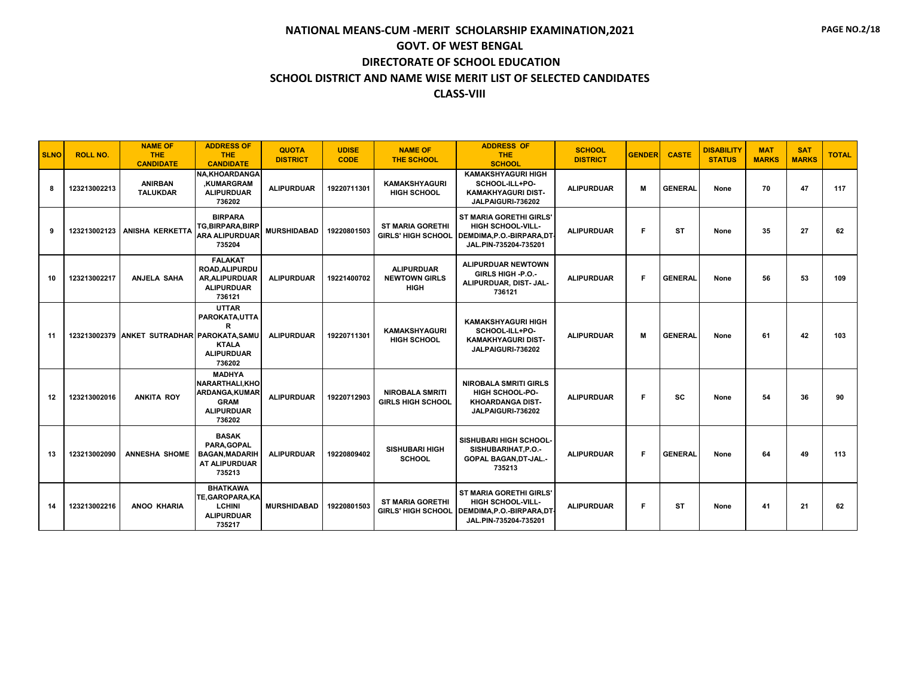| <b>SLNO</b> | <b>ROLL NO.</b> | <b>NAME OF</b><br><b>THE</b><br><b>CANDIDATE</b> | <b>ADDRESS OF</b><br><b>THE</b><br><b>CANDIDATE</b>                                                    | <b>QUOTA</b><br><b>DISTRICT</b> | <b>UDISE</b><br><b>CODE</b> | <b>NAME OF</b><br><b>THE SCHOOL</b>                      | <b>ADDRESS OF</b><br>THE.<br><b>SCHOOL</b>                                                                     | <b>SCHOOL</b><br><b>DISTRICT</b> | <b>GENDER</b> | <b>CASTE</b>   | <b>DISABILITY</b><br><b>STATUS</b> | <b>MAT</b><br><b>MARKS</b> | <b>SAT</b><br><b>MARKS</b> | <b>TOTAL</b> |
|-------------|-----------------|--------------------------------------------------|--------------------------------------------------------------------------------------------------------|---------------------------------|-----------------------------|----------------------------------------------------------|----------------------------------------------------------------------------------------------------------------|----------------------------------|---------------|----------------|------------------------------------|----------------------------|----------------------------|--------------|
| 8           | 123213002213    | <b>ANIRBAN</b><br><b>TALUKDAR</b>                | <b>NA.KHOARDANGA</b><br>,KUMARGRAM<br><b>ALIPURDUAR</b><br>736202                                      | <b>ALIPURDUAR</b>               | 19220711301                 | <b>KAMAKSHYAGURI</b><br><b>HIGH SCHOOL</b>               | <b>KAMAKSHYAGURI HIGH</b><br>SCHOOL-ILL+PO-<br><b>KAMAKHYAGURI DIST-</b><br>JALPAIGURI-736202                  | <b>ALIPURDUAR</b>                | M             | <b>GENERAL</b> | None                               | 70                         | 47                         | 117          |
| 9           | 123213002123    | <b>ANISHA KERKETTA</b>                           | <b>BIRPARA</b><br><b>TG.BIRPARA.BIRP</b><br><b>ARA ALIPURDUAR</b><br>735204                            | <b>MURSHIDABAD</b>              | 19220801503                 | <b>ST MARIA GORETHI</b><br><b>GIRLS' HIGH SCHOOL</b>     | ST MARIA GORETHI GIRLS'<br><b>HIGH SCHOOL-VILL-</b><br>DEMDIMA, P.O.-BIRPARA, DT<br>JAL.PIN-735204-735201      | <b>ALIPURDUAR</b>                | F             | <b>ST</b>      | None                               | 35                         | 27                         | 62           |
| 10          | 123213002217    | <b>ANJELA SAHA</b>                               | <b>FALAKAT</b><br>ROAD, ALIPURDU<br><b>AR.ALIPURDUAR</b><br><b>ALIPURDUAR</b><br>736121                | <b>ALIPURDUAR</b>               | 19221400702                 | <b>ALIPURDUAR</b><br><b>NEWTOWN GIRLS</b><br><b>HIGH</b> | <b>ALIPURDUAR NEWTOWN</b><br>GIRLS HIGH -P.O.-<br>ALIPURDUAR, DIST- JAL-<br>736121                             | <b>ALIPURDUAR</b>                | F             | <b>GENERAL</b> | None                               | 56                         | 53                         | 109          |
| 11          |                 | 123213002379 ANKET SUTRADHAR PAROKATA.SAMU       | <b>UTTAR</b><br>PAROKATA, UTTA<br>R<br><b>KTALA</b><br><b>ALIPURDUAR</b><br>736202                     | <b>ALIPURDUAR</b>               | 19220711301                 | <b>KAMAKSHYAGURI</b><br><b>HIGH SCHOOL</b>               | <b>KAMAKSHYAGURI HIGH</b><br>SCHOOL-ILL+PO-<br><b>KAMAKHYAGURI DIST-</b><br>JALPAIGURI-736202                  | <b>ALIPURDUAR</b>                | M             | <b>GENERAL</b> | None                               | 61                         | 42                         | 103          |
| 12          | 123213002016    | <b>ANKITA ROY</b>                                | <b>MADHYA</b><br><b>NARARTHALI.KHO</b><br>ARDANGA, KUMAR<br><b>GRAM</b><br><b>ALIPURDUAR</b><br>736202 | <b>ALIPURDUAR</b>               | 19220712903                 | <b>NIROBALA SMRITI</b><br><b>GIRLS HIGH SCHOOL</b>       | <b>NIROBALA SMRITI GIRLS</b><br><b>HIGH SCHOOL-PO-</b><br><b>KHOARDANGA DIST-</b><br>JALPAIGURI-736202         | <b>ALIPURDUAR</b>                | F             | <b>SC</b>      | None                               | 54                         | 36                         | 90           |
| 13          | 123213002090    | <b>ANNESHA SHOME</b>                             | <b>BASAK</b><br>PARA.GOPAL<br><b>BAGAN, MADARIH</b><br>AT ALIPURDUAR<br>735213                         | <b>ALIPURDUAR</b>               | 19220809402                 | <b>SISHUBARI HIGH</b><br><b>SCHOOL</b>                   | SISHUBARI HIGH SCHOOL-<br>SISHUBARIHAT, P.O.-<br>GOPAL BAGAN, DT-JAL.-<br>735213                               | <b>ALIPURDUAR</b>                | F             | <b>GENERAL</b> | None                               | 64                         | 49                         | 113          |
| 14          | 123213002216    | <b>ANOO KHARIA</b>                               | <b>BHATKAWA</b><br>TE, GAROPARA, KA<br><b>LCHINI</b><br><b>ALIPURDUAR</b><br>735217                    | <b>MURSHIDABAD</b>              | 19220801503                 | <b>ST MARIA GORETHI</b><br><b>GIRLS' HIGH SCHOOL</b>     | <b>ST MARIA GORETHI GIRLS'</b><br><b>HIGH SCHOOL-VILL-</b><br>DEMDIMA.P.O.-BIRPARA.DT<br>JAL.PIN-735204-735201 | <b>ALIPURDUAR</b>                | F             | <b>ST</b>      | None                               | 41                         | 21                         | 62           |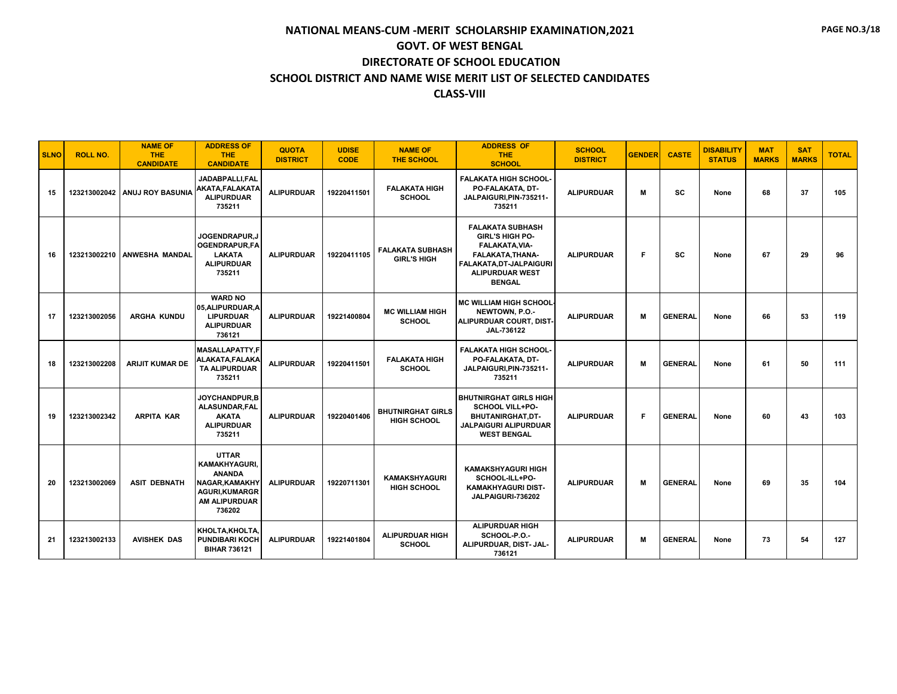| <b>SLNO</b> | <b>ROLL NO.</b> | <b>NAME OF</b><br><b>THE</b><br><b>CANDIDATE</b> | <b>ADDRESS OF</b><br><b>THE</b><br><b>CANDIDATE</b>                                                                               | <b>QUOTA</b><br><b>DISTRICT</b> | <b>UDISE</b><br><b>CODE</b> | <b>NAME OF</b><br><b>THE SCHOOL</b>            | <b>ADDRESS OF</b><br><b>THE</b><br><b>SCHOOL</b>                                                                                                              | <b>SCHOOL</b><br><b>DISTRICT</b> | <b>GENDER</b> | <b>CASTE</b>   | <b>DISABILITY</b><br><b>STATUS</b> | <b>MAT</b><br><b>MARKS</b> | <b>SAT</b><br><b>MARKS</b> | <b>TOTAL</b> |
|-------------|-----------------|--------------------------------------------------|-----------------------------------------------------------------------------------------------------------------------------------|---------------------------------|-----------------------------|------------------------------------------------|---------------------------------------------------------------------------------------------------------------------------------------------------------------|----------------------------------|---------------|----------------|------------------------------------|----------------------------|----------------------------|--------------|
| 15          | 123213002042    | <b>ANUJ ROY BASUNIA</b>                          | JADABPALLI.FAL<br>AKATA, FALAKATA<br><b>ALIPURDUAR</b><br>735211                                                                  | <b>ALIPURDUAR</b>               | 19220411501                 | <b>FALAKATA HIGH</b><br><b>SCHOOL</b>          | <b>FALAKATA HIGH SCHOOL-</b><br>PO-FALAKATA, DT-<br>JALPAIGURI, PIN-735211-<br>735211                                                                         | <b>ALIPURDUAR</b>                | M             | <b>SC</b>      | None                               | 68                         | 37                         | 105          |
| 16          |                 | 123213002210 ANWESHA MANDAL                      | JOGENDRAPUR.J<br><b>OGENDRAPUR.FA</b><br><b>LAKATA</b><br><b>ALIPURDUAR</b><br>735211                                             | <b>ALIPURDUAR</b>               | 19220411105                 | <b>FALAKATA SUBHASH</b><br><b>GIRL'S HIGH</b>  | <b>FALAKATA SUBHASH</b><br><b>GIRL'S HIGH PO-</b><br>FALAKATA, VIA-<br>FALAKATA, THANA-<br>FALAKATA, DT-JALPAIGURI<br><b>ALIPURDUAR WEST</b><br><b>BENGAL</b> | <b>ALIPURDUAR</b>                | F.            | <b>SC</b>      | None                               | 67                         | 29                         | 96           |
| 17          | 123213002056    | <b>ARGHA KUNDU</b>                               | <b>WARD NO</b><br>05, ALIPURDUAR, A<br><b>LIPURDUAR</b><br><b>ALIPURDUAR</b><br>736121                                            | <b>ALIPURDUAR</b>               | 19221400804                 | <b>MC WILLIAM HIGH</b><br><b>SCHOOL</b>        | <b>MC WILLIAM HIGH SCHOOL</b><br>NEWTOWN, P.O.-<br>ALIPURDUAR COURT, DIST-<br>JAL-736122                                                                      | <b>ALIPURDUAR</b>                | M             | <b>GENERAL</b> | None                               | 66                         | 53                         | 119          |
| 18          | 123213002208    | <b>ARIJIT KUMAR DE</b>                           | <b>MASALLAPATTY.F</b><br>ALAKATA,FALAKA<br><b>TA ALIPURDUAR</b><br>735211                                                         | <b>ALIPURDUAR</b>               | 19220411501                 | <b>FALAKATA HIGH</b><br><b>SCHOOL</b>          | <b>FALAKATA HIGH SCHOOL-</b><br>PO-FALAKATA, DT-<br>JALPAIGURI, PIN-735211-<br>735211                                                                         | <b>ALIPURDUAR</b>                | M             | <b>GENERAL</b> | None                               | 61                         | 50                         | 111          |
| 19          | 123213002342    | <b>ARPITA KAR</b>                                | JOYCHANDPUR.B<br><b>ALASUNDAR.FAL</b><br><b>AKATA</b><br><b>ALIPURDUAR</b><br>735211                                              | <b>ALIPURDUAR</b>               | 19220401406                 | <b>BHUTNIRGHAT GIRLS</b><br><b>HIGH SCHOOL</b> | <b>BHUTNIRGHAT GIRLS HIGH</b><br><b>SCHOOL VILL+PO-</b><br>BHUTANIRGHAT, DT-<br><b>JALPAIGURI ALIPURDUAR</b><br><b>WEST BENGAL</b>                            | <b>ALIPURDUAR</b>                | F             | <b>GENERAL</b> | None                               | 60                         | 43                         | 103          |
| 20          | 123213002069    | <b>ASIT DEBNATH</b>                              | <b>UTTAR</b><br><b>KAMAKHYAGURI.</b><br><b>ANANDA</b><br>NAGAR, KAMAKHY<br><b>AGURI,KUMARGR</b><br><b>AM ALIPURDUAR</b><br>736202 | <b>ALIPURDUAR</b>               | 19220711301                 | <b>KAMAKSHYAGURI</b><br><b>HIGH SCHOOL</b>     | <b>KAMAKSHYAGURI HIGH</b><br>SCHOOL-ILL+PO-<br><b>KAMAKHYAGURI DIST-</b><br>JALPAIGURI-736202                                                                 | <b>ALIPURDUAR</b>                | M             | <b>GENERAL</b> | None                               | 69                         | 35                         | 104          |
| 21          | 123213002133    | <b>AVISHEK DAS</b>                               | KHOLTA, KHOLTA.<br><b>PUNDIBARI KOCH</b><br><b>BIHAR 736121</b>                                                                   | <b>ALIPURDUAR</b>               | 19221401804                 | <b>ALIPURDUAR HIGH</b><br><b>SCHOOL</b>        | <b>ALIPURDUAR HIGH</b><br>SCHOOL-P.O.-<br>ALIPURDUAR, DIST- JAL-<br>736121                                                                                    | <b>ALIPURDUAR</b>                | M             | <b>GENERAL</b> | None                               | 73                         | 54                         | 127          |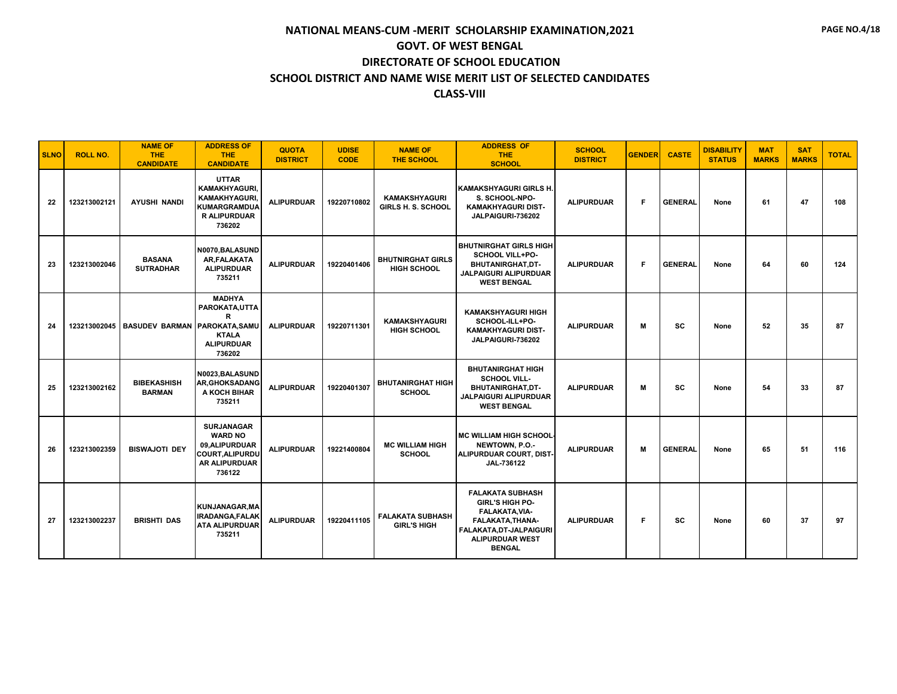| <b>SLNO</b> | <b>ROLL NO.</b> | <b>NAME OF</b><br><b>THE</b><br><b>CANDIDATE</b> | <b>ADDRESS OF</b><br><b>THE</b><br><b>CANDIDATE</b>                                                                 | <b>QUOTA</b><br><b>DISTRICT</b> | <b>UDISE</b><br><b>CODE</b> | <b>NAME OF</b><br><b>THE SCHOOL</b>               | <b>ADDRESS OF</b><br><b>THE</b><br><b>SCHOOL</b>                                                                                                              | <b>SCHOOL</b><br><b>DISTRICT</b> | <b>GENDER</b> | <b>CASTE</b>   | <b>DISABILITY</b><br><b>STATUS</b> | <b>MAT</b><br><b>MARKS</b> | <b>SAT</b><br><b>MARKS</b> | <b>TOTAL</b> |
|-------------|-----------------|--------------------------------------------------|---------------------------------------------------------------------------------------------------------------------|---------------------------------|-----------------------------|---------------------------------------------------|---------------------------------------------------------------------------------------------------------------------------------------------------------------|----------------------------------|---------------|----------------|------------------------------------|----------------------------|----------------------------|--------------|
| 22          | 123213002121    | <b>AYUSHI NANDI</b>                              | <b>UTTAR</b><br><b>KAMAKHYAGURI.</b><br><b>KAMAKHYAGURI</b><br><b>KUMARGRAMDUA</b><br><b>R ALIPURDUAR</b><br>736202 | <b>ALIPURDUAR</b>               | 19220710802                 | <b>KAMAKSHYAGURI</b><br><b>GIRLS H. S. SCHOOL</b> | <b>KAMAKSHYAGURI GIRLS H.</b><br>S. SCHOOL-NPO-<br><b>KAMAKHYAGURI DIST-</b><br>JALPAIGURI-736202                                                             | <b>ALIPURDUAR</b>                | F.            | <b>GENERAL</b> | None                               | 61                         | 47                         | 108          |
| 23          | 123213002046    | <b>BASANA</b><br><b>SUTRADHAR</b>                | N0070.BALASUND<br>AR, FALAKATA<br><b>ALIPURDUAR</b><br>735211                                                       | <b>ALIPURDUAR</b>               | 19220401406                 | <b>BHUTNIRGHAT GIRLS</b><br><b>HIGH SCHOOL</b>    | <b>BHUTNIRGHAT GIRLS HIGH</b><br><b>SCHOOL VILL+PO-</b><br>BHUTANIRGHAT,DT-<br><b>JALPAIGURI ALIPURDUAR</b><br><b>WEST BENGAL</b>                             | <b>ALIPURDUAR</b>                | F             | <b>GENERAL</b> | None                               | 64                         | 60                         | 124          |
| 24          | 123213002045    | BASUDEV BARMAN PAROKATA, SAMU                    | <b>MADHYA</b><br>PAROKATA, UTTA<br>R<br><b>KTALA</b><br><b>ALIPURDUAR</b><br>736202                                 | <b>ALIPURDUAR</b>               | 19220711301                 | <b>KAMAKSHYAGURI</b><br><b>HIGH SCHOOL</b>        | <b>KAMAKSHYAGURI HIGH</b><br>SCHOOL-ILL+PO-<br><b>KAMAKHYAGURI DIST-</b><br>JALPAIGURI-736202                                                                 | <b>ALIPURDUAR</b>                | M             | <b>SC</b>      | None                               | 52                         | 35                         | 87           |
| 25          | 123213002162    | <b>BIBEKASHISH</b><br><b>BARMAN</b>              | N0023.BALASUND<br><b>AR.GHOKSADANG</b><br>A KOCH BIHAR<br>735211                                                    | <b>ALIPURDUAR</b>               | 19220401307                 | <b>BHUTANIRGHAT HIGH</b><br><b>SCHOOL</b>         | <b>BHUTANIRGHAT HIGH</b><br><b>SCHOOL VILL-</b><br>BHUTANIRGHAT, DT-<br>JALPAIGURI ALIPURDUAR<br><b>WEST BENGAL</b>                                           | <b>ALIPURDUAR</b>                | M             | <b>SC</b>      | None                               | 54                         | 33                         | 87           |
| 26          | 123213002359    | <b>BISWAJOTI DEY</b>                             | <b>SURJANAGAR</b><br><b>WARD NO</b><br>09, ALIPURDUAR<br><b>COURT, ALIPURDU</b><br><b>AR ALIPURDUAR</b><br>736122   | <b>ALIPURDUAR</b>               | 19221400804                 | <b>MC WILLIAM HIGH</b><br><b>SCHOOL</b>           | <b>MC WILLIAM HIGH SCHOOL</b><br>NEWTOWN, P.O.-<br>ALIPURDUAR COURT, DIST-<br>JAL-736122                                                                      | <b>ALIPURDUAR</b>                | M             | <b>GENERAL</b> | None                               | 65                         | 51                         | 116          |
| 27          | 123213002237    | <b>BRISHTI DAS</b>                               | KUNJANAGAR.MA<br><b>IRADANGA.FALAK</b><br><b>ATA ALIPURDUAR</b><br>735211                                           | <b>ALIPURDUAR</b>               | 19220411105                 | <b>FALAKATA SUBHASH</b><br><b>GIRL'S HIGH</b>     | <b>FALAKATA SUBHASH</b><br><b>GIRL'S HIGH PO-</b><br>FALAKATA, VIA-<br>FALAKATA, THANA-<br>FALAKATA, DT-JALPAIGURI<br><b>ALIPURDUAR WEST</b><br><b>BENGAL</b> | <b>ALIPURDUAR</b>                | F             | <b>SC</b>      | None                               | 60                         | 37                         | 97           |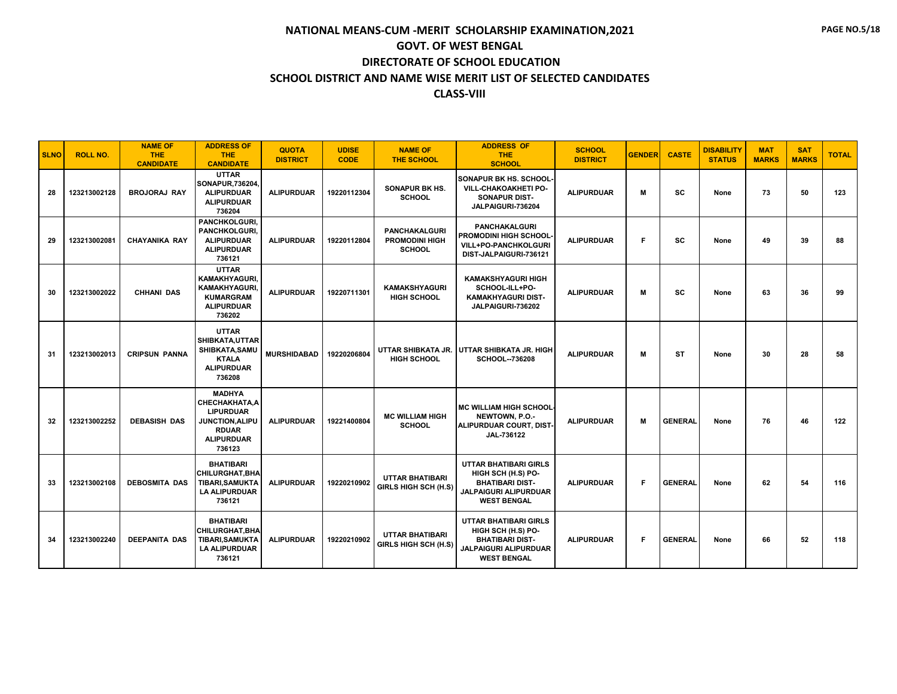| <b>SLNO</b> | <b>ROLL NO.</b> | <b>NAME OF</b><br><b>THE</b><br><b>CANDIDATE</b> | <b>ADDRESS OF</b><br><b>THE</b><br><b>CANDIDATE</b>                                                                                | <b>QUOTA</b><br><b>DISTRICT</b> | <b>UDISE</b><br><b>CODE</b> | <b>NAME OF</b><br><b>THE SCHOOL</b>                            | <b>ADDRESS OF</b><br><b>THE</b><br><b>SCHOOL</b>                                                                            | <b>SCHOOL</b><br><b>DISTRICT</b> | <b>GENDER</b> | <b>CASTE</b>   | <b>DISABILITY</b><br><b>STATUS</b> | <b>MAT</b><br><b>MARKS</b> | <b>SAT</b><br><b>MARKS</b> | <b>TOTAL</b> |
|-------------|-----------------|--------------------------------------------------|------------------------------------------------------------------------------------------------------------------------------------|---------------------------------|-----------------------------|----------------------------------------------------------------|-----------------------------------------------------------------------------------------------------------------------------|----------------------------------|---------------|----------------|------------------------------------|----------------------------|----------------------------|--------------|
| 28          | 123213002128    | <b>BROJORAJ RAY</b>                              | <b>UTTAR</b><br>SONAPUR, 736204<br><b>ALIPURDUAR</b><br><b>ALIPURDUAR</b><br>736204                                                | <b>ALIPURDUAR</b>               | 19220112304                 | <b>SONAPUR BK HS.</b><br><b>SCHOOL</b>                         | <b>SONAPUR BK HS. SCHOOL</b><br>VILL-CHAKOAKHETI PO-<br><b>SONAPUR DIST-</b><br>JALPAIGURI-736204                           | <b>ALIPURDUAR</b>                | M             | <b>SC</b>      | None                               | 73                         | 50                         | 123          |
| 29          | 123213002081    | <b>CHAYANIKA RAY</b>                             | <b>PANCHKOLGURI.</b><br>PANCHKOLGURI,<br><b>ALIPURDUAR</b><br><b>ALIPURDUAR</b><br>736121                                          | <b>ALIPURDUAR</b>               | 19220112804                 | <b>PANCHAKALGURI</b><br><b>PROMODINI HIGH</b><br><b>SCHOOL</b> | <b>PANCHAKALGURI</b><br>PROMODINI HIGH SCHOOL<br><b>VILL+PO-PANCHKOLGURI</b><br>DIST-JALPAIGURI-736121                      | <b>ALIPURDUAR</b>                | F             | <b>SC</b>      | None                               | 49                         | 39                         | 88           |
| 30          | 123213002022    | <b>CHHANI DAS</b>                                | <b>UTTAR</b><br><b>KAMAKHYAGURI.</b><br>KAMAKHYAGURI,<br><b>KUMARGRAM</b><br><b>ALIPURDUAR</b><br>736202                           | <b>ALIPURDUAR</b>               | 19220711301                 | <b>KAMAKSHYAGURI</b><br><b>HIGH SCHOOL</b>                     | <b>KAMAKSHYAGURI HIGH</b><br>SCHOOL-ILL+PO-<br><b>KAMAKHYAGURI DIST-</b><br>JALPAIGURI-736202                               | <b>ALIPURDUAR</b>                | M             | <b>SC</b>      | None                               | 63                         | 36                         | 99           |
| 31          | 123213002013    | <b>CRIPSUN PANNA</b>                             | <b>UTTAR</b><br>SHIBKATA, UTTAR<br>SHIBKATA, SAMU<br><b>KTALA</b><br><b>ALIPURDUAR</b><br>736208                                   | <b>MURSHIDABAD</b>              | 19220206804                 | <b>HIGH SCHOOL</b>                                             | UTTAR SHIBKATA JR. UTTAR SHIBKATA JR. HIGH<br><b>SCHOOL--736208</b>                                                         | <b>ALIPURDUAR</b>                | M             | ST             | None                               | 30                         | 28                         | 58           |
| 32          | 123213002252    | <b>DEBASISH DAS</b>                              | <b>MADHYA</b><br><b>CHECHAKHATA, A</b><br><b>LIPURDUAR</b><br><b>JUNCTION,ALIPU</b><br><b>RDUAR</b><br><b>ALIPURDUAR</b><br>736123 | <b>ALIPURDUAR</b>               | 19221400804                 | <b>MC WILLIAM HIGH</b><br><b>SCHOOL</b>                        | <b>MC WILLIAM HIGH SCHOOL</b><br>NEWTOWN, P.O.-<br>ALIPURDUAR COURT, DIST<br>JAL-736122                                     | <b>ALIPURDUAR</b>                | M             | <b>GENERAL</b> | None                               | 76                         | 46                         | 122          |
| 33          | 123213002108    | <b>DEBOSMITA DAS</b>                             | <b>BHATIBARI</b><br>CHILURGHAT, BHA<br><b>TIBARI, SAMUKTA</b><br><b>LA ALIPURDUAR</b><br>736121                                    | <b>ALIPURDUAR</b>               | 19220210902                 | <b>UTTAR BHATIBARI</b><br>GIRLS HIGH SCH (H.S)                 | <b>UTTAR BHATIBARI GIRLS</b><br>HIGH SCH (H.S) PO-<br><b>BHATIBARI DIST-</b><br>JALPAIGURI ALIPURDUAR<br><b>WEST BENGAL</b> | <b>ALIPURDUAR</b>                | F             | <b>GENERAL</b> | None                               | 62                         | 54                         | 116          |
| 34          | 123213002240    | <b>DEEPANITA DAS</b>                             | <b>BHATIBARI</b><br><b>CHILURGHAT.BHA</b><br><b>TIBARI, SAMUKTA</b><br><b>LA ALIPURDUAR</b><br>736121                              | <b>ALIPURDUAR</b>               | 19220210902                 | <b>UTTAR BHATIBARI</b><br>GIRLS HIGH SCH (H.S)                 | <b>UTTAR BHATIBARI GIRLS</b><br>HIGH SCH (H.S) PO-<br><b>BHATIBARI DIST-</b><br>JALPAIGURI ALIPURDUAR<br><b>WEST BENGAL</b> | <b>ALIPURDUAR</b>                | F             | <b>GENERAL</b> | None                               | 66                         | 52                         | 118          |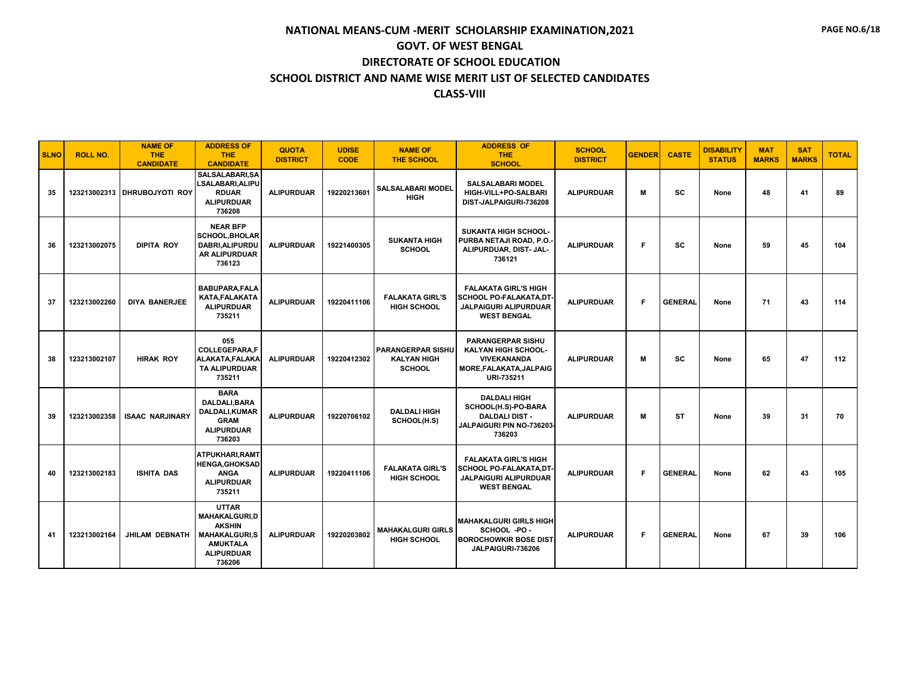| <b>SLNO</b> | <b>ROLL NO.</b> | <b>NAME OF</b><br><b>THE</b><br><b>CANDIDATE</b> | <b>ADDRESS OF</b><br><b>THE</b><br><b>CANDIDATE</b>                                                                             | <b>QUOTA</b><br><b>DISTRICT</b> | <b>UDISE</b><br><b>CODE</b> | <b>NAME OF</b><br><b>THE SCHOOL</b>                             | <b>ADDRESS OF</b><br><b>THE</b><br><b>SCHOOL</b>                                                                  | <b>SCHOOL</b><br><b>DISTRICT</b> | <b>GENDER</b> | <b>CASTE</b>   | <b>DISABILITY</b><br><b>STATUS</b> | <b>MAT</b><br><b>MARKS</b> | <b>SAT</b><br><b>MARKS</b> | <b>TOTAL</b> |
|-------------|-----------------|--------------------------------------------------|---------------------------------------------------------------------------------------------------------------------------------|---------------------------------|-----------------------------|-----------------------------------------------------------------|-------------------------------------------------------------------------------------------------------------------|----------------------------------|---------------|----------------|------------------------------------|----------------------------|----------------------------|--------------|
| 35          |                 | 123213002313 DHRUBOJYOTI ROY                     | SALSALABARI, SA<br><b>LSALABARI.ALIPU</b><br><b>RDUAR</b><br><b>ALIPURDUAR</b><br>736208                                        | <b>ALIPURDUAR</b>               | 19220213601                 | <b>SALSALABARI MODEL</b><br><b>HIGH</b>                         | <b>SALSALABARI MODEL</b><br>HIGH-VILL+PO-SALBARI<br>DIST-JALPAIGURI-736208                                        | <b>ALIPURDUAR</b>                | M             | <b>SC</b>      | None                               | 48                         | 41                         | 89           |
| 36          | 123213002075    | <b>DIPITA ROY</b>                                | <b>NEAR BFP</b><br><b>SCHOOL, BHOLAR</b><br>DABRI, ALIPURDU<br>AR ALIPURDUAR<br>736123                                          | <b>ALIPURDUAR</b>               | 19221400305                 | <b>SUKANTA HIGH</b><br><b>SCHOOL</b>                            | <b>SUKANTA HIGH SCHOOL-</b><br>PURBA NETAJI ROAD, P.O.<br>ALIPURDUAR, DIST- JAL-<br>736121                        | <b>ALIPURDUAR</b>                | F             | <b>SC</b>      | None                               | 59                         | 45                         | 104          |
| 37          | 123213002260    | <b>DIYA BANERJEE</b>                             | <b>BABUPARA,FALA</b><br><b>KATA.FALAKATA</b><br><b>ALIPURDUAR</b><br>735211                                                     | <b>ALIPURDUAR</b>               | 19220411106                 | <b>FALAKATA GIRL'S</b><br>HIGH SCHOOL                           | <b>FALAKATA GIRL'S HIGH</b><br><b>SCHOOL PO-FALAKATA,DT</b><br><b>JALPAIGURI ALIPURDUAR</b><br><b>WEST BENGAL</b> | <b>ALIPURDUAR</b>                | F             | <b>GENERAL</b> | None                               | 71                         | 43                         | 114          |
| 38          | 123213002107    | <b>HIRAK ROY</b>                                 | 055<br><b>COLLEGEPARA.F</b><br>ALAKATA, FALAKA<br>TA ALIPURDUAR<br>735211                                                       | <b>ALIPURDUAR</b>               | 19220412302                 | <b>PARANGERPAR SISHU</b><br><b>KALYAN HIGH</b><br><b>SCHOOL</b> | <b>PARANGERPAR SISHU</b><br>KALYAN HIGH SCHOOL-<br><b>VIVEKANANDA</b><br>MORE, FALAKATA, JALPAIG<br>URI-735211    | <b>ALIPURDUAR</b>                | M             | <b>SC</b>      | None                               | 65                         | 47                         | 112          |
| 39          | 123213002358    | <b>ISAAC NARJINARY</b>                           | <b>BARA</b><br><b>DALDALI.BARA</b><br>DALDALI, KUMAR<br><b>GRAM</b><br><b>ALIPURDUAR</b><br>736203                              | <b>ALIPURDUAR</b>               | 19220706102                 | <b>DALDALI HIGH</b><br>SCHOOL(H.S)                              | <b>DALDALI HIGH</b><br>SCHOOL(H.S)-PO-BARA<br><b>DALDALI DIST -</b><br>JALPAIGURI PIN NO-736203<br>736203         | <b>ALIPURDUAR</b>                | M             | <b>ST</b>      | None                               | 39                         | 31                         | 70           |
| 40          | 123213002183    | <b>ISHITA DAS</b>                                | ATPUKHARI, RAMT<br><b>HENGA.GHOKSAD</b><br><b>ANGA</b><br><b>ALIPURDUAR</b><br>735211                                           | <b>ALIPURDUAR</b>               | 19220411106                 | <b>FALAKATA GIRL'S</b><br>HIGH SCHOOL                           | <b>FALAKATA GIRL'S HIGH</b><br>SCHOOL PO-FALAKATA,DT<br><b>JALPAIGURI ALIPURDUAR</b><br><b>WEST BENGAL</b>        | <b>ALIPURDUAR</b>                | F             | <b>GENERAL</b> | None                               | 62                         | 43                         | 105          |
| 41          | 123213002164    | JHILAM DEBNATH                                   | <b>UTTAR</b><br><b>MAHAKALGURI.D</b><br><b>AKSHIN</b><br><b>MAHAKALGURI,S</b><br><b>AMUKTALA</b><br><b>ALIPURDUAR</b><br>736206 | <b>ALIPURDUAR</b>               | 19220203802                 | <b>MAHAKALGURI GIRLS</b><br><b>HIGH SCHOOL</b>                  | <b>MAHAKALGURI GIRLS HIGH</b><br>SCHOOL -PO -<br><b>BOROCHOWKIR BOSE DIST</b><br>JALPAIGURI-736206                | <b>ALIPURDUAR</b>                | F             | <b>GENERAL</b> | None                               | 67                         | 39                         | 106          |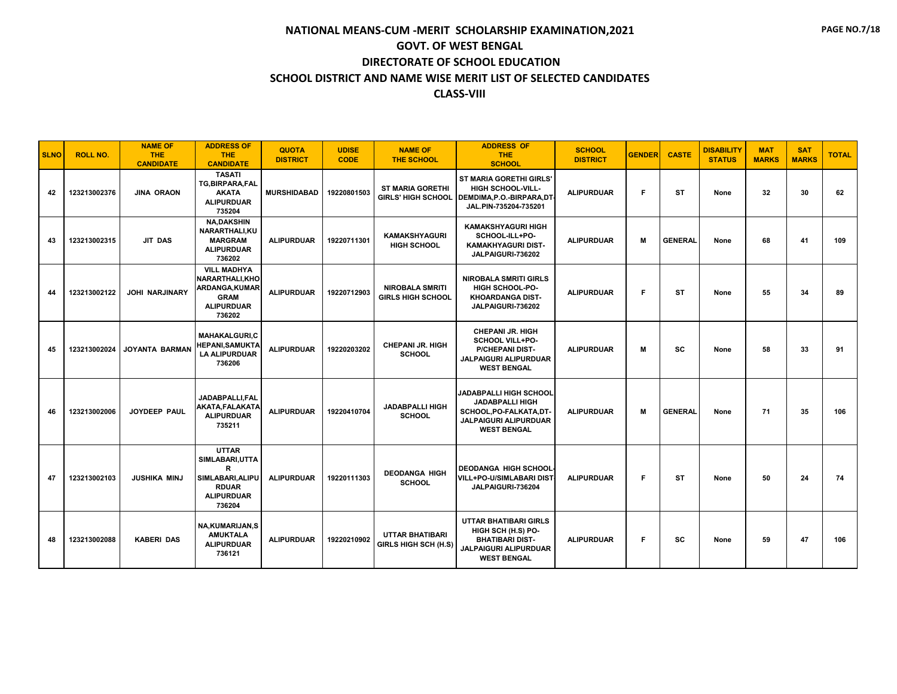| <b>SLNO</b> | <b>ROLL NO.</b> | <b>NAME OF</b><br><b>THE</b><br><b>CANDIDATE</b> | <b>ADDRESS OF</b><br><b>THE</b><br><b>CANDIDATE</b>                                                     | <b>QUOTA</b><br><b>DISTRICT</b> | <b>UDISE</b><br><b>CODE</b> | <b>NAME OF</b><br><b>THE SCHOOL</b>                  | <b>ADDRESS OF</b><br><b>THE</b><br><b>SCHOOL</b>                                                                                         | <b>SCHOOL</b><br><b>DISTRICT</b> | <b>GENDER</b> | <b>CASTE</b>   | <b>DISABILITY</b><br><b>STATUS</b> | <b>MAT</b><br><b>MARKS</b> | <b>SAT</b><br><b>MARKS</b> | <b>TOTAL</b> |
|-------------|-----------------|--------------------------------------------------|---------------------------------------------------------------------------------------------------------|---------------------------------|-----------------------------|------------------------------------------------------|------------------------------------------------------------------------------------------------------------------------------------------|----------------------------------|---------------|----------------|------------------------------------|----------------------------|----------------------------|--------------|
| 42          | 123213002376    | <b>JINA ORAON</b>                                | <b>TASATI</b><br>TG, BIRPARA, FAL<br><b>AKATA</b><br><b>ALIPURDUAR</b><br>735204                        | <b>MURSHIDABAD</b>              | 19220801503                 | <b>ST MARIA GORETHI</b><br><b>GIRLS' HIGH SCHOOL</b> | <b>ST MARIA GORETHI GIRLS'</b><br><b>HIGH SCHOOL-VILL-</b><br>DEMDIMA, P.O.-BIRPARA, DT<br>JAL.PIN-735204-735201                         | <b>ALIPURDUAR</b>                | F             | <b>ST</b>      | None                               | 32                         | 30                         | 62           |
| 43          | 123213002315    | <b>JIT DAS</b>                                   | <b>NA.DAKSHIN</b><br><b>NARARTHALI.KU</b><br><b>MARGRAM</b><br><b>ALIPURDUAR</b><br>736202              | <b>ALIPURDUAR</b>               | 19220711301                 | <b>KAMAKSHYAGURI</b><br><b>HIGH SCHOOL</b>           | <b>KAMAKSHYAGURI HIGH</b><br>SCHOOL-ILL+PO-<br><b>KAMAKHYAGURI DIST-</b><br>JALPAIGURI-736202                                            | <b>ALIPURDUAR</b>                | M             | <b>GENERAL</b> | None                               | 68                         | 41                         | 109          |
| 44          | 123213002122    | <b>JOHI NARJINARY</b>                            | <b>VILL MADHYA</b><br>NARARTHALI.KHO<br>ARDANGA,KUMAR<br><b>GRAM</b><br><b>ALIPURDUAR</b><br>736202     | <b>ALIPURDUAR</b>               | 19220712903                 | <b>NIROBALA SMRITI</b><br><b>GIRLS HIGH SCHOOL</b>   | <b>NIROBALA SMRITI GIRLS</b><br><b>HIGH SCHOOL-PO-</b><br><b>KHOARDANGA DIST-</b><br>JALPAIGURI-736202                                   | <b>ALIPURDUAR</b>                | F             | <b>ST</b>      | None                               | 55                         | 34                         | 89           |
| 45          | 123213002024    | <b>JOYANTA BARMAN</b>                            | <b>MAHAKALGURI.C</b><br><b>IEPANI,SAMUKTA</b><br><b>LA ALIPURDUAR</b><br>736206                         | <b>ALIPURDUAR</b>               | 19220203202                 | <b>CHEPANI JR. HIGH</b><br><b>SCHOOL</b>             | <b>CHEPANI JR. HIGH</b><br>SCHOOL VILL+PO-<br><b>P/CHEPANI DIST-</b><br><b>JALPAIGURI ALIPURDUAR</b><br><b>WEST BENGAL</b>               | <b>ALIPURDUAR</b>                | M             | <b>SC</b>      | None                               | 58                         | 33                         | 91           |
| 46          | 123213002006    | <b>JOYDEEP PAUL</b>                              | JADABPALLI.FAL<br>AKATA,FALAKATA<br><b>ALIPURDUAR</b><br>735211                                         | <b>ALIPURDUAR</b>               | 19220410704                 | <b>JADABPALLI HIGH</b><br><b>SCHOOL</b>              | <b>JADABPALLI HIGH SCHOOL</b><br><b>JADABPALLI HIGH</b><br>SCHOOL, PO-FALKATA, DT-<br><b>JALPAIGURI ALIPURDUAR</b><br><b>WEST BENGAL</b> | <b>ALIPURDUAR</b>                | M             | <b>GENERAL</b> | None                               | 71                         | 35                         | 106          |
| 47          | 123213002103    | <b>JUSHIKA MINJ</b>                              | <b>UTTAR</b><br>SIMLABARI, UTTA<br>R<br>SIMLABARI, ALIPU<br><b>RDUAR</b><br><b>ALIPURDUAR</b><br>736204 | <b>ALIPURDUAR</b>               | 19220111303                 | <b>DEODANGA HIGH</b><br><b>SCHOOL</b>                | <b>DEODANGA HIGH SCHOOL</b><br><b>VILL+PO-U/SIMLABARI DIST</b><br>JALPAIGURI-736204                                                      | <b>ALIPURDUAR</b>                | F             | <b>ST</b>      | None                               | 50                         | 24                         | 74           |
| 48          | 123213002088    | <b>KABERI DAS</b>                                | <b>NA.KUMARIJAN.S</b><br><b>AMUKTALA</b><br><b>ALIPURDUAR</b><br>736121                                 | <b>ALIPURDUAR</b>               | 19220210902                 | <b>UTTAR BHATIBARI</b><br>GIRLS HIGH SCH (H.S)       | <b>UTTAR BHATIBARI GIRLS</b><br>HIGH SCH (H.S) PO-<br><b>BHATIBARI DIST-</b><br>JALPAIGURI ALIPURDUAR<br><b>WEST BENGAL</b>              | <b>ALIPURDUAR</b>                | F             | sc             | None                               | 59                         | 47                         | 106          |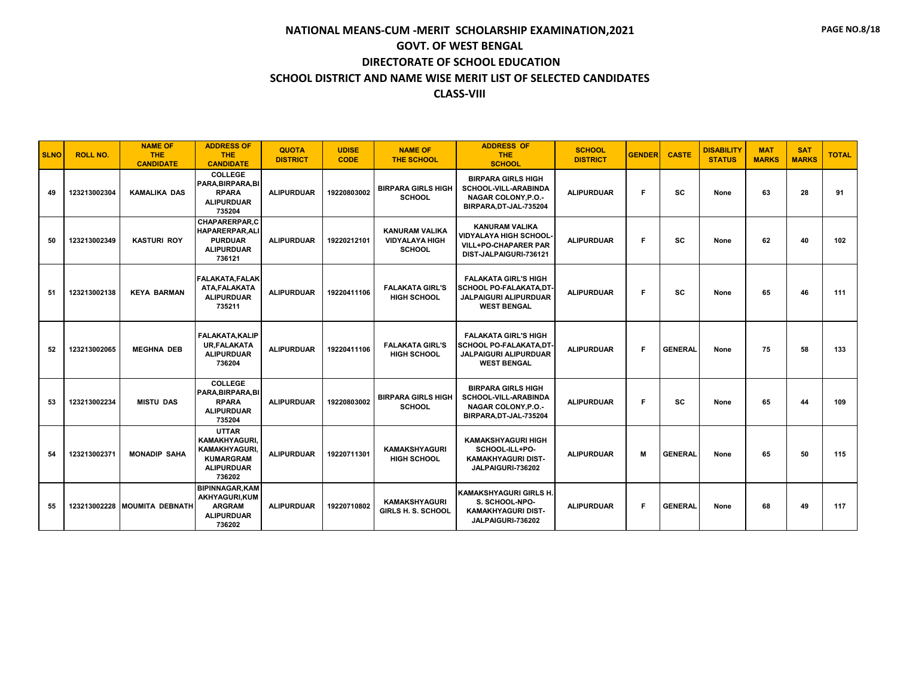| <b>SLNO</b> | <b>ROLL NO.</b> | <b>NAME OF</b><br><b>THE</b><br><b>CANDIDATE</b> | <b>ADDRESS OF</b><br><b>THE</b><br><b>CANDIDATE</b>                                                      | <b>QUOTA</b><br><b>DISTRICT</b> | <b>UDISE</b><br><b>CODE</b> | <b>NAME OF</b><br><b>THE SCHOOL</b>                             | <b>ADDRESS OF</b><br><b>THE</b><br><b>SCHOOL</b>                                                                   | <b>SCHOOL</b><br><b>DISTRICT</b> | <b>GENDER</b> | <b>CASTE</b>   | <b>DISABILITY</b><br><b>STATUS</b> | <b>MAT</b><br><b>MARKS</b> | <b>SAT</b><br><b>MARKS</b> | <b>TOTAL</b> |
|-------------|-----------------|--------------------------------------------------|----------------------------------------------------------------------------------------------------------|---------------------------------|-----------------------------|-----------------------------------------------------------------|--------------------------------------------------------------------------------------------------------------------|----------------------------------|---------------|----------------|------------------------------------|----------------------------|----------------------------|--------------|
| 49          | 123213002304    | <b>KAMALIKA DAS</b>                              | <b>COLLEGE</b><br>PARA, BIRPARA, BI<br><b>RPARA</b><br><b>ALIPURDUAR</b><br>735204                       | <b>ALIPURDUAR</b>               | 19220803002                 | <b>BIRPARA GIRLS HIGH</b><br><b>SCHOOL</b>                      | <b>BIRPARA GIRLS HIGH</b><br><b>SCHOOL-VILL-ARABINDA</b><br><b>NAGAR COLONY, P.O.-</b><br>BIRPARA, DT-JAL-735204   | <b>ALIPURDUAR</b>                | Е             | sc             | None                               | 63                         | 28                         | 91           |
| 50          | 123213002349    | <b>KASTURI ROY</b>                               | <b>CHAPARERPAR.C</b><br>HAPARERPAR, ALI<br><b>PURDUAR</b><br><b>ALIPURDUAR</b><br>736121                 | <b>ALIPURDUAR</b>               | 19220212101                 | <b>KANURAM VALIKA</b><br><b>VIDYALAYA HIGH</b><br><b>SCHOOL</b> | <b>KANURAM VALIKA</b><br><b>VIDYALAYA HIGH SCHOOL</b><br><b>VILL+PO-CHAPARER PAR</b><br>DIST-JALPAIGURI-736121     | <b>ALIPURDUAR</b>                | F             | SC             | None                               | 62                         | 40                         | 102          |
| 51          | 123213002138    | <b>KEYA BARMAN</b>                               | <b>FALAKATA.FALAK</b><br>ATA, FALAKATA<br><b>ALIPURDUAR</b><br>735211                                    | <b>ALIPURDUAR</b>               | 19220411106                 | <b>FALAKATA GIRL'S</b><br><b>HIGH SCHOOL</b>                    | <b>FALAKATA GIRL'S HIGH</b><br><b>SCHOOL PO-FALAKATA,DT-</b><br><b>JALPAIGURI ALIPURDUAR</b><br><b>WEST BENGAL</b> | <b>ALIPURDUAR</b>                | F             | SC             | None                               | 65                         | 46                         | 111          |
| 52          | 123213002065    | <b>MEGHNA DEB</b>                                | <b>FALAKATA, KALIP</b><br><b>UR, FALAKATA</b><br><b>ALIPURDUAR</b><br>736204                             | <b>ALIPURDUAR</b>               | 19220411106                 | <b>FALAKATA GIRL'S</b><br><b>HIGH SCHOOL</b>                    | <b>FALAKATA GIRL'S HIGH</b><br>SCHOOL PO-FALAKATA,DT-<br><b>JALPAIGURI ALIPURDUAR</b><br><b>WEST BENGAL</b>        | <b>ALIPURDUAR</b>                | F             | <b>GENERAL</b> | None                               | 75                         | 58                         | 133          |
| 53          | 123213002234    | <b>MISTU DAS</b>                                 | <b>COLLEGE</b><br>PARA.BIRPARA.BI<br><b>RPARA</b><br><b>ALIPURDUAR</b><br>735204                         | <b>ALIPURDUAR</b>               | 19220803002                 | <b>BIRPARA GIRLS HIGH</b><br><b>SCHOOL</b>                      | <b>BIRPARA GIRLS HIGH</b><br>SCHOOL-VILL-ARABINDA<br><b>NAGAR COLONY.P.O.-</b><br>BIRPARA, DT-JAL-735204           | <b>ALIPURDUAR</b>                | F             | SC             | None                               | 65                         | 44                         | 109          |
| 54          | 123213002371    | <b>MONADIP SAHA</b>                              | <b>UTTAR</b><br><b>KAMAKHYAGURI.</b><br>KAMAKHYAGURI,<br><b>KUMARGRAM</b><br><b>ALIPURDUAR</b><br>736202 | <b>ALIPURDUAR</b>               | 19220711301                 | <b>KAMAKSHYAGURI</b><br><b>HIGH SCHOOL</b>                      | <b>KAMAKSHYAGURI HIGH</b><br>SCHOOL-ILL+PO-<br><b>KAMAKHYAGURI DIST-</b><br>JALPAIGURI-736202                      | <b>ALIPURDUAR</b>                | M             | <b>GENERAL</b> | None                               | 65                         | 50                         | 115          |
| 55          | 123213002228    | <b>MOUMITA DEBNATH</b>                           | <b>BIPINNAGAR, KAM</b><br>AKHYAGURI.KUM<br><b>ARGRAM</b><br><b>ALIPURDUAR</b><br>736202                  | <b>ALIPURDUAR</b>               | 19220710802                 | <b>KAMAKSHYAGURI</b><br><b>GIRLS H. S. SCHOOL</b>               | <b>KAMAKSHYAGURI GIRLS H.</b><br>S. SCHOOL-NPO-<br><b>KAMAKHYAGURI DIST-</b><br>JALPAIGURI-736202                  | <b>ALIPURDUAR</b>                | F             | <b>GENERAL</b> | None                               | 68                         | 49                         | 117          |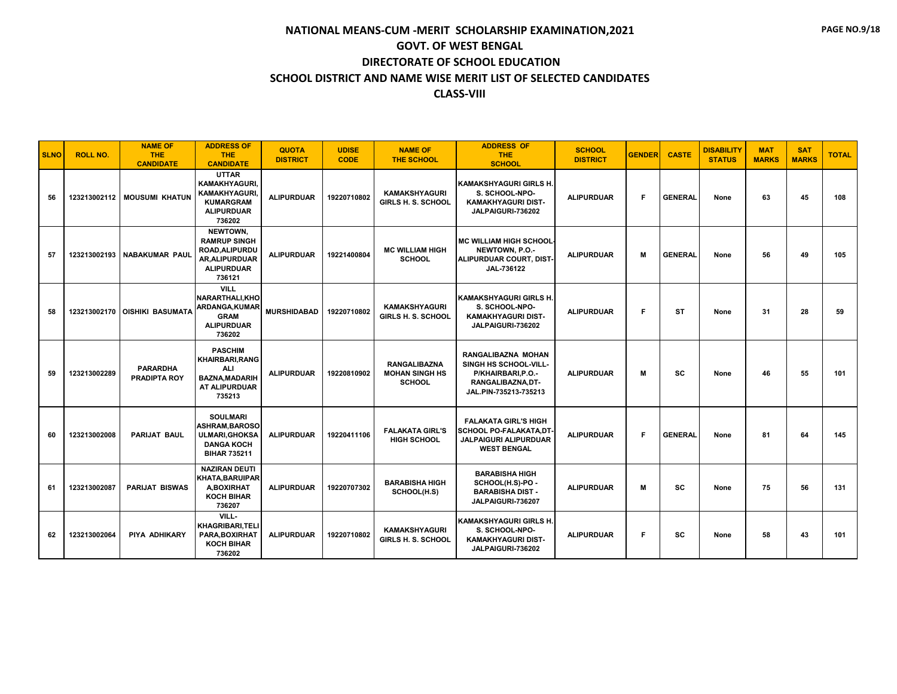| <b>SLNO</b> | <b>ROLL NO.</b> | <b>NAME OF</b><br><b>THE</b><br><b>CANDIDATE</b> | <b>ADDRESS OF</b><br><b>THE</b><br><b>CANDIDATE</b>                                                            | <b>QUOTA</b><br><b>DISTRICT</b> | <b>UDISE</b><br><b>CODE</b> | <b>NAME OF</b><br>THE SCHOOL                                  | <b>ADDRESS OF</b><br><b>THE</b><br><b>SCHOOL</b>                                                                      | <b>SCHOOL</b><br><b>DISTRICT</b> | <b>GENDER</b> | <b>CASTE</b>   | <b>DISABILITY</b><br><b>STATUS</b> | <b>MAT</b><br><b>MARKS</b> | <b>SAT</b><br><b>MARKS</b> | <b>TOTAL</b> |
|-------------|-----------------|--------------------------------------------------|----------------------------------------------------------------------------------------------------------------|---------------------------------|-----------------------------|---------------------------------------------------------------|-----------------------------------------------------------------------------------------------------------------------|----------------------------------|---------------|----------------|------------------------------------|----------------------------|----------------------------|--------------|
| 56          | 123213002112    | <b>MOUSUMI KHATUN</b>                            | <b>UTTAR</b><br><b>KAMAKHYAGURI.</b><br><b>KAMAKHYAGURI</b><br><b>KUMARGRAM</b><br><b>ALIPURDUAR</b><br>736202 | <b>ALIPURDUAR</b>               | 19220710802                 | <b>KAMAKSHYAGURI</b><br>GIRLS H. S. SCHOOL                    | <b>KAMAKSHYAGURI GIRLS H.</b><br>S. SCHOOL-NPO-<br><b>KAMAKHYAGURI DIST-</b><br>JALPAIGURI-736202                     | <b>ALIPURDUAR</b>                | F.            | <b>GENERAL</b> | None                               | 63                         | 45                         | 108          |
| 57          | 123213002193    | <b>NABAKUMAR PAUL</b>                            | NEWTOWN.<br><b>RAMRUP SINGH</b><br><b>ROAD.ALIPURDU</b><br>AR, ALIPURDUAR<br><b>ALIPURDUAR</b><br>736121       | <b>ALIPURDUAR</b>               | 19221400804                 | <b>MC WILLIAM HIGH</b><br><b>SCHOOL</b>                       | <b>MC WILLIAM HIGH SCHOOL</b><br>NEWTOWN, P.O.-<br>ALIPURDUAR COURT, DIST<br>JAL-736122                               | <b>ALIPURDUAR</b>                | M             | <b>GENERAL</b> | None                               | 56                         | 49                         | 105          |
| 58          | 123213002170    | <b>OISHIKI BASUMATA</b>                          | <b>VILL</b><br>NARARTHALI, KHO<br>ARDANGA, KUMAR<br><b>GRAM</b><br><b>ALIPURDUAR</b><br>736202                 | <b>MURSHIDABAD</b>              | 19220710802                 | <b>KAMAKSHYAGURI</b><br><b>GIRLS H. S. SCHOOL</b>             | <b>KAMAKSHYAGURI GIRLS H.</b><br>S. SCHOOL-NPO-<br><b>KAMAKHYAGURI DIST-</b><br>JALPAIGURI-736202                     | <b>ALIPURDUAR</b>                | F             | <b>ST</b>      | None                               | 31                         | 28                         | 59           |
| 59          | 123213002289    | <b>PARARDHA</b><br><b>PRADIPTA ROY</b>           | <b>PASCHIM</b><br><b>KHAIRBARI, RANG</b><br><b>ALI</b><br><b>BAZNA, MADARIH</b><br>AT ALIPURDUAR<br>735213     | <b>ALIPURDUAR</b>               | 19220810902                 | <b>RANGALIBAZNA</b><br><b>MOHAN SINGH HS</b><br><b>SCHOOL</b> | <b>RANGALIBAZNA MOHAN</b><br>SINGH HS SCHOOL-VILL-<br>P/KHAIRBARI, P.O.-<br>RANGALIBAZNA.DT-<br>JAL.PIN-735213-735213 | <b>ALIPURDUAR</b>                | M             | SC             | None                               | 46                         | 55                         | 101          |
| 60          | 123213002008    | <b>PARIJAT BAUL</b>                              | <b>SOULMARI</b><br><b>ASHRAM, BAROSO</b><br><b>ULMARI, GHOKSA</b><br><b>DANGA KOCH</b><br><b>BIHAR 735211</b>  | <b>ALIPURDUAR</b>               | 19220411106                 | <b>FALAKATA GIRL'S</b><br><b>HIGH SCHOOL</b>                  | <b>FALAKATA GIRL'S HIGH</b><br><b>SCHOOL PO-FALAKATA,DT-</b><br><b>JALPAIGURI ALIPURDUAR</b><br><b>WEST BENGAL</b>    | <b>ALIPURDUAR</b>                | F             | <b>GENERAL</b> | None                               | 81                         | 64                         | 145          |
| 61          | 123213002087    | <b>PARIJAT BISWAS</b>                            | <b>NAZIRAN DEUTI</b><br><b>KHATA.BARUIPAR</b><br><b>A,BOXIRHAT</b><br><b>KOCH BIHAR</b><br>736207              | <b>ALIPURDUAR</b>               | 19220707302                 | <b>BARABISHA HIGH</b><br>SCHOOL(H.S)                          | <b>BARABISHA HIGH</b><br>SCHOOL(H.S)-PO -<br><b>BARABISHA DIST -</b><br>JALPAIGURI-736207                             | <b>ALIPURDUAR</b>                | M             | sc             | None                               | 75                         | 56                         | 131          |
| 62          | 123213002064    | PIYA ADHIKARY                                    | VILL-<br><b>KHAGRIBARI.TELI</b><br>PARA, BOXIRHAT<br><b>KOCH BIHAR</b><br>736202                               | <b>ALIPURDUAR</b>               | 19220710802                 | <b>KAMAKSHYAGURI</b><br><b>GIRLS H. S. SCHOOL</b>             | <b>KAMAKSHYAGURI GIRLS H.</b><br>S. SCHOOL-NPO-<br><b>KAMAKHYAGURI DIST-</b><br>JALPAIGURI-736202                     | <b>ALIPURDUAR</b>                | F             | SC             | None                               | 58                         | 43                         | 101          |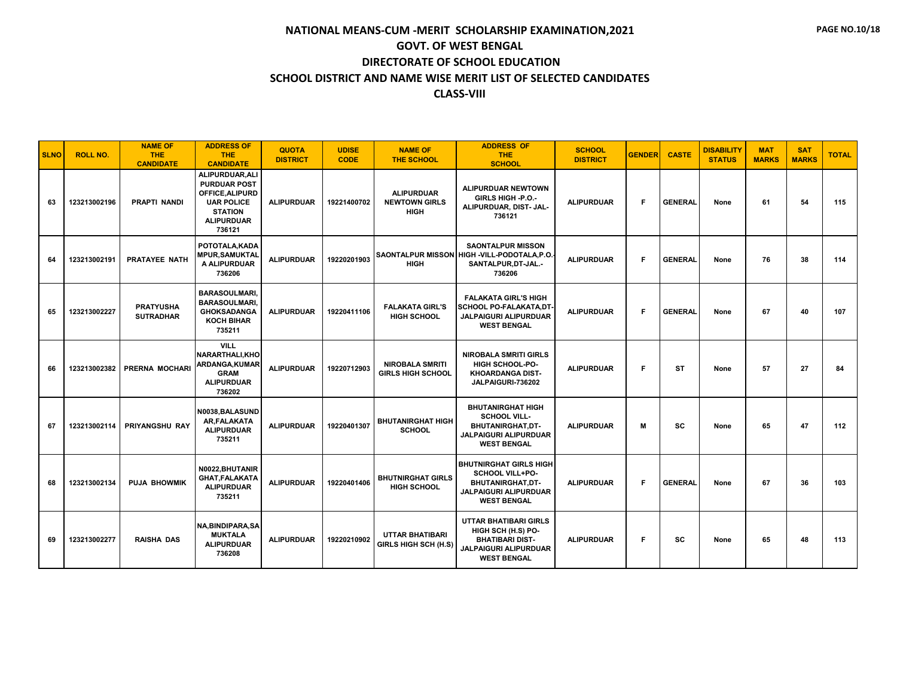| <b>SLNO</b> | <b>ROLL NO.</b> | <b>NAME OF</b><br><b>THE</b><br><b>CANDIDATE</b> | <b>ADDRESS OF</b><br><b>THE</b><br><b>CANDIDATE</b>                                                                            | <b>QUOTA</b><br><b>DISTRICT</b> | <b>UDISE</b><br><b>CODE</b> | <b>NAME OF</b><br>THE SCHOOL                             | <b>ADDRESS OF</b><br><b>THE</b><br><b>SCHOOL</b>                                                                                   | <b>SCHOOL</b><br><b>DISTRICT</b> | <b>GENDER</b> | <b>CASTE</b>   | <b>DISABILITY</b><br><b>STATUS</b> | <b>MAT</b><br><b>MARKS</b> | <b>SAT</b><br><b>MARKS</b> | <b>TOTAL</b> |
|-------------|-----------------|--------------------------------------------------|--------------------------------------------------------------------------------------------------------------------------------|---------------------------------|-----------------------------|----------------------------------------------------------|------------------------------------------------------------------------------------------------------------------------------------|----------------------------------|---------------|----------------|------------------------------------|----------------------------|----------------------------|--------------|
| 63          | 123213002196    | <b>PRAPTI NANDI</b>                              | ALIPURDUAR, ALI<br><b>PURDUAR POST</b><br>OFFICE.ALIPURD<br><b>UAR POLICE</b><br><b>STATION</b><br><b>ALIPURDUAR</b><br>736121 | <b>ALIPURDUAR</b>               | 19221400702                 | <b>ALIPURDUAR</b><br><b>NEWTOWN GIRLS</b><br><b>HIGH</b> | ALIPURDUAR NEWTOWN<br>GIRLS HIGH -P.O.-<br>ALIPURDUAR, DIST- JAL-<br>736121                                                        | <b>ALIPURDUAR</b>                | F             | <b>GENERAL</b> | None                               | 61                         | 54                         | 115          |
| 64          | 123213002191    | PRATAYEE NATH                                    | POTOTALA.KADA<br><b>MPUR, SAMUKTAL</b><br>A ALIPURDUAR<br>736206                                                               | <b>ALIPURDUAR</b>               | 19220201903                 | <b>HIGH</b>                                              | <b>SAONTALPUR MISSON</b><br>SAONTALPUR MISSON HIGH -VILL-PODOTALA, P.O.<br>SANTALPUR, DT-JAL.-<br>736206                           | <b>ALIPURDUAR</b>                | F.            | <b>GENERAL</b> | None                               | 76                         | 38                         | 114          |
| 65          | 123213002227    | <b>PRATYUSHA</b><br><b>SUTRADHAR</b>             | <b>BARASOULMARI</b><br><b>BARASOULMARI.</b><br><b>GHOKSADANGA</b><br><b>KOCH BIHAR</b><br>735211                               | <b>ALIPURDUAR</b>               | 19220411106                 | <b>FALAKATA GIRL'S</b><br><b>HIGH SCHOOL</b>             | <b>FALAKATA GIRL'S HIGH</b><br><b>SCHOOL PO-FALAKATA,DT</b><br><b>JALPAIGURI ALIPURDUAR</b><br><b>WEST BENGAL</b>                  | <b>ALIPURDUAR</b>                | F.            | <b>GENERAL</b> | None                               | 67                         | 40                         | 107          |
| 66          | 123213002382    | <b>PRERNA MOCHARI</b>                            | <b>VILL</b><br><b>NARARTHALI.KHO</b><br>ARDANGA, KUMAR<br><b>GRAM</b><br><b>ALIPURDUAR</b><br>736202                           | <b>ALIPURDUAR</b>               | 19220712903                 | <b>NIROBALA SMRITI</b><br><b>GIRLS HIGH SCHOOL</b>       | <b>NIROBALA SMRITI GIRLS</b><br><b>HIGH SCHOOL-PO-</b><br><b>KHOARDANGA DIST-</b><br>JALPAIGURI-736202                             | <b>ALIPURDUAR</b>                | F             | <b>ST</b>      | None                               | 57                         | 27                         | 84           |
| 67          | 123213002114    | <b>PRIYANGSHU RAY</b>                            | N0038.BALASUND<br>AR, FALAKATA<br><b>ALIPURDUAR</b><br>735211                                                                  | <b>ALIPURDUAR</b>               | 19220401307                 | <b>BHUTANIRGHAT HIGH</b><br><b>SCHOOL</b>                | <b>BHUTANIRGHAT HIGH</b><br>SCHOOL VILL-<br>BHUTANIRGHAT, DT-<br>JALPAIGURI ALIPURDUAR<br><b>WEST BENGAL</b>                       | <b>ALIPURDUAR</b>                | M             | sc             | None                               | 65                         | 47                         | 112          |
| 68          | 123213002134    | PUJA BHOWMIK                                     | N0022.BHUTANIR<br><b>GHAT, FALAKATA</b><br><b>ALIPURDUAR</b><br>735211                                                         | <b>ALIPURDUAR</b>               | 19220401406                 | <b>BHUTNIRGHAT GIRLS</b><br><b>HIGH SCHOOL</b>           | <b>BHUTNIRGHAT GIRLS HIGH</b><br><b>SCHOOL VILL+PO-</b><br>BHUTANIRGHAT,DT-<br><b>JALPAIGURI ALIPURDUAR</b><br><b>WEST BENGAL</b>  | <b>ALIPURDUAR</b>                | F             | <b>GENERAL</b> | None                               | 67                         | 36                         | 103          |
| 69          | 123213002277    | <b>RAISHA DAS</b>                                | <b>NA, BINDIPARA, SA</b><br><b>MUKTALA</b><br><b>ALIPURDUAR</b><br>736208                                                      | <b>ALIPURDUAR</b>               | 19220210902                 | <b>UTTAR BHATIBARI</b><br>GIRLS HIGH SCH (H.S)           | <b>UTTAR BHATIBARI GIRLS</b><br>HIGH SCH (H.S) PO-<br><b>BHATIBARI DIST-</b><br><b>JALPAIGURI ALIPURDUAR</b><br><b>WEST BENGAL</b> | <b>ALIPURDUAR</b>                | F             | SC             | None                               | 65                         | 48                         | 113          |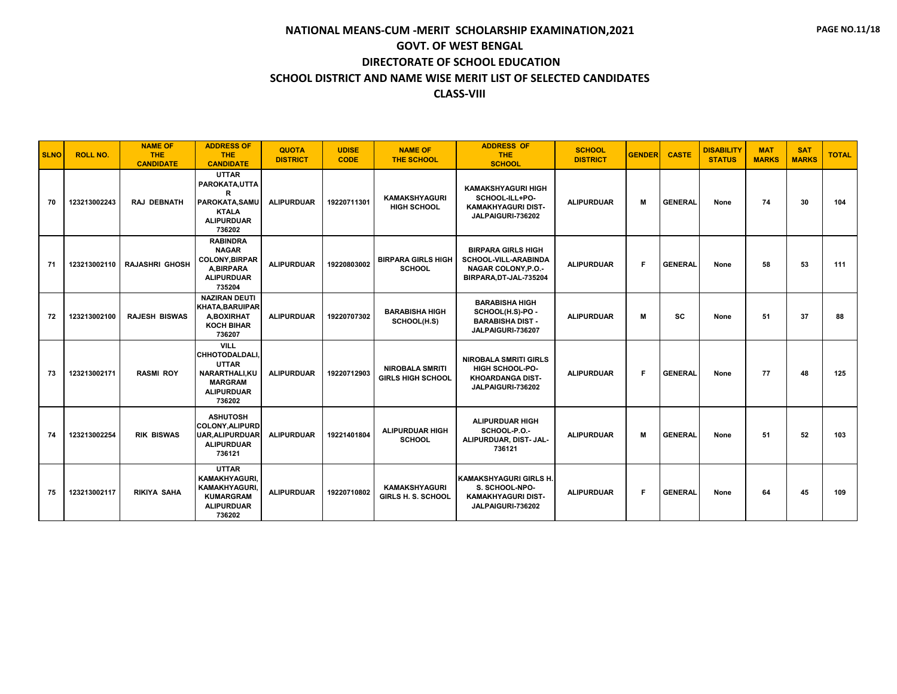| <b>SLNO</b> | <b>ROLL NO.</b> | <b>NAME OF</b><br><b>THE</b><br><b>CANDIDATE</b> | <b>ADDRESS OF</b><br><b>THE</b><br><b>CANDIDATE</b>                                                                   | <b>QUOTA</b><br><b>DISTRICT</b> | <b>UDISE</b><br><b>CODE</b> | <b>NAME OF</b><br><b>THE SCHOOL</b>                | <b>ADDRESS OF</b><br><b>THE</b><br><b>SCHOOL</b>                                                          | <b>SCHOOL</b><br><b>DISTRICT</b> | <b>GENDER</b> | <b>CASTE</b>   | <b>DISABILITY</b><br><b>STATUS</b> | <b>MAT</b><br><b>MARKS</b> | <b>SAT</b><br><b>MARKS</b> | <b>TOTAL</b> |
|-------------|-----------------|--------------------------------------------------|-----------------------------------------------------------------------------------------------------------------------|---------------------------------|-----------------------------|----------------------------------------------------|-----------------------------------------------------------------------------------------------------------|----------------------------------|---------------|----------------|------------------------------------|----------------------------|----------------------------|--------------|
| 70          | 123213002243    | <b>RAJ DEBNATH</b>                               | <b>UTTAR</b><br>PAROKATA, UTTA<br>R<br>PAROKATA.SAMU<br><b>KTALA</b><br><b>ALIPURDUAR</b><br>736202                   | <b>ALIPURDUAR</b>               | 19220711301                 | <b>KAMAKSHYAGURI</b><br><b>HIGH SCHOOL</b>         | <b>KAMAKSHYAGURI HIGH</b><br>SCHOOL-ILL+PO-<br><b>KAMAKHYAGURI DIST-</b><br>JALPAIGURI-736202             | <b>ALIPURDUAR</b>                | M             | <b>GENERAL</b> | None                               | 74                         | 30                         | 104          |
| 71          | 123213002110    | <b>RAJASHRI GHOSH</b>                            | <b>RABINDRA</b><br><b>NAGAR</b><br><b>COLONY, BIRPAR</b><br>A.BIRPARA<br><b>ALIPURDUAR</b><br>735204                  | <b>ALIPURDUAR</b>               | 19220803002                 | <b>BIRPARA GIRLS HIGH</b><br><b>SCHOOL</b>         | <b>BIRPARA GIRLS HIGH</b><br>SCHOOL-VILL-ARABINDA<br><b>NAGAR COLONY, P.O.-</b><br>BIRPARA, DT-JAL-735204 | <b>ALIPURDUAR</b>                | F             | <b>GENERAL</b> | None                               | 58                         | 53                         | 111          |
| 72          | 123213002100    | <b>RAJESH BISWAS</b>                             | <b>NAZIRAN DEUTI</b><br><b>KHATA, BARUIPAR</b><br>A,BOXIRHAT<br><b>KOCH BIHAR</b><br>736207                           | <b>ALIPURDUAR</b>               | 19220707302                 | <b>BARABISHA HIGH</b><br>SCHOOL(H.S)               | <b>BARABISHA HIGH</b><br>SCHOOL(H.S)-PO -<br><b>BARABISHA DIST -</b><br>JALPAIGURI-736207                 | <b>ALIPURDUAR</b>                | M             | <b>SC</b>      | None                               | 51                         | 37                         | 88           |
| 73          | 123213002171    | <b>RASMI ROY</b>                                 | <b>VILL</b><br><b>CHHOTODALDALI</b><br><b>UTTAR</b><br>NARARTHALI.KU<br><b>MARGRAM</b><br><b>ALIPURDUAR</b><br>736202 | <b>ALIPURDUAR</b>               | 19220712903                 | <b>NIROBALA SMRITI</b><br><b>GIRLS HIGH SCHOOL</b> | <b>NIROBALA SMRITI GIRLS</b><br><b>HIGH SCHOOL-PO-</b><br><b>KHOARDANGA DIST-</b><br>JALPAIGURI-736202    | <b>ALIPURDUAR</b>                | F.            | <b>GENERAL</b> | None                               | 77                         | 48                         | 125          |
| 74          | 123213002254    | <b>RIK BISWAS</b>                                | <b>ASHUTOSH</b><br><b>COLONY.ALIPURD</b><br><b>UAR, ALIPURDUAR</b><br><b>ALIPURDUAR</b><br>736121                     | <b>ALIPURDUAR</b>               | 19221401804                 | <b>ALIPURDUAR HIGH</b><br><b>SCHOOL</b>            | <b>ALIPURDUAR HIGH</b><br>SCHOOL-P.O.-<br>ALIPURDUAR, DIST- JAL-<br>736121                                | <b>ALIPURDUAR</b>                | M             | <b>GENERAL</b> | None                               | 51                         | 52                         | 103          |
| 75          | 123213002117    | <b>RIKIYA SAHA</b>                               | <b>UTTAR</b><br><b>KAMAKHYAGURI.</b><br>KAMAKHYAGURI,<br><b>KUMARGRAM</b><br><b>ALIPURDUAR</b><br>736202              | <b>ALIPURDUAR</b>               | 19220710802                 | <b>KAMAKSHYAGURI</b><br><b>GIRLS H. S. SCHOOL</b>  | <b>KAMAKSHYAGURI GIRLS H.</b><br>S. SCHOOL-NPO-<br><b>KAMAKHYAGURI DIST-</b><br>JALPAIGURI-736202         | <b>ALIPURDUAR</b>                | F             | <b>GENERAL</b> | None                               | 64                         | 45                         | 109          |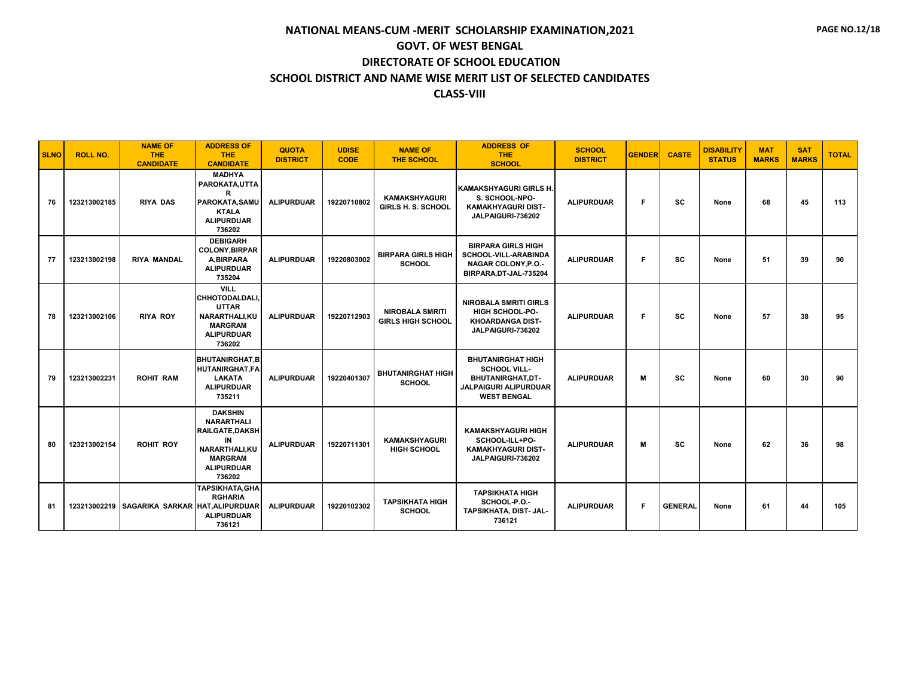| <b>SLNO</b> | <b>ROLL NO.</b> | <b>NAME OF</b><br><b>THE</b><br><b>CANDIDATE</b> | <b>ADDRESS OF</b><br><b>THE</b><br><b>CANDIDATE</b>                                                                                   | <b>QUOTA</b><br><b>DISTRICT</b> | <b>UDISE</b><br><b>CODE</b> | <b>NAME OF</b><br><b>THE SCHOOL</b>                | <b>ADDRESS OF</b><br>THE.<br><b>SCHOOL</b>                                                                         | <b>SCHOOL</b><br><b>DISTRICT</b> | <b>GENDER</b> | <b>CASTE</b>   | <b>DISABILITY</b><br><b>STATUS</b> | <b>MAT</b><br><b>MARKS</b> | <b>SAT</b><br><b>MARKS</b> | <b>TOTAL</b> |
|-------------|-----------------|--------------------------------------------------|---------------------------------------------------------------------------------------------------------------------------------------|---------------------------------|-----------------------------|----------------------------------------------------|--------------------------------------------------------------------------------------------------------------------|----------------------------------|---------------|----------------|------------------------------------|----------------------------|----------------------------|--------------|
| 76          | 123213002185    | <b>RIYA DAS</b>                                  | <b>MADHYA</b><br>PAROKATA.UTTA<br>R<br>PAROKATA, SAMU<br><b>KTALA</b><br><b>ALIPURDUAR</b><br>736202                                  | <b>ALIPURDUAR</b>               | 19220710802                 | <b>KAMAKSHYAGURI</b><br><b>GIRLS H. S. SCHOOL</b>  | <b>KAMAKSHYAGURI GIRLS H.</b><br>S. SCHOOL-NPO-<br><b>KAMAKHYAGURI DIST-</b><br>JALPAIGURI-736202                  | <b>ALIPURDUAR</b>                | F             | SC             | None                               | 68                         | 45                         | 113          |
| 77          | 123213002198    | <b>RIYA MANDAL</b>                               | <b>DEBIGARH</b><br><b>COLONY, BIRPAR</b><br><b>A.BIRPARA</b><br><b>ALIPURDUAR</b><br>735204                                           | <b>ALIPURDUAR</b>               | 19220803002                 | <b>BIRPARA GIRLS HIGH</b><br><b>SCHOOL</b>         | <b>BIRPARA GIRLS HIGH</b><br>SCHOOL-VILL-ARABINDA<br>NAGAR COLONY, P.O.-<br>BIRPARA, DT-JAL-735204                 | <b>ALIPURDUAR</b>                | F             | sc             | None                               | 51                         | 39                         | 90           |
| 78          | 123213002106    | <b>RIYA ROY</b>                                  | <b>VILL</b><br><b>CHHOTODALDALI</b><br><b>UTTAR</b><br><b>NARARTHALI.KU</b><br><b>MARGRAM</b><br><b>ALIPURDUAR</b><br>736202          | <b>ALIPURDUAR</b>               | 19220712903                 | <b>NIROBALA SMRITI</b><br><b>GIRLS HIGH SCHOOL</b> | <b>NIROBALA SMRITI GIRLS</b><br><b>HIGH SCHOOL-PO-</b><br><b>KHOARDANGA DIST-</b><br>JALPAIGURI-736202             | <b>ALIPURDUAR</b>                | F             | sc             | None                               | 57                         | 38                         | 95           |
| 79          | 123213002231    | <b>ROHIT RAM</b>                                 | <b>BHUTANIRGHAT.B</b><br><b>HUTANIRGHAT,FA</b><br><b>LAKATA</b><br><b>ALIPURDUAR</b><br>735211                                        | <b>ALIPURDUAR</b>               | 19220401307                 | <b>BHUTANIRGHAT HIGH</b><br><b>SCHOOL</b>          | <b>BHUTANIRGHAT HIGH</b><br><b>SCHOOL VILL-</b><br>BHUTANIRGHAT,DT-<br>JALPAIGURI ALIPURDUAR<br><b>WEST BENGAL</b> | <b>ALIPURDUAR</b>                | M             | SC             | None                               | 60                         | 30                         | 90           |
| 80          | 123213002154    | <b>ROHIT ROY</b>                                 | <b>DAKSHIN</b><br><b>NARARTHALI</b><br><b>RAILGATE, DAKSH</b><br>IN<br>NARARTHALI.KU<br><b>MARGRAM</b><br><b>ALIPURDUAR</b><br>736202 | <b>ALIPURDUAR</b>               | 19220711301                 | <b>KAMAKSHYAGURI</b><br><b>HIGH SCHOOL</b>         | <b>KAMAKSHYAGURI HIGH</b><br>SCHOOL-ILL+PO-<br><b>KAMAKHYAGURI DIST-</b><br>JALPAIGURI-736202                      | <b>ALIPURDUAR</b>                | M             | sc             | None                               | 62                         | 36                         | 98           |
| 81          |                 | 123213002219 SAGARIKA SARKAR HAT.ALIPURDUAR      | <b>TAPSIKHATA, GHA</b><br><b>RGHARIA</b><br><b>ALIPURDUAR</b><br>736121                                                               | <b>ALIPURDUAR</b>               | 19220102302                 | <b>TAPSIKHATA HIGH</b><br><b>SCHOOL</b>            | <b>TAPSIKHATA HIGH</b><br>SCHOOL-P.O.-<br>TAPSIKHATA, DIST- JAL-<br>736121                                         | <b>ALIPURDUAR</b>                | F             | <b>GENERAL</b> | None                               | 61                         | 44                         | 105          |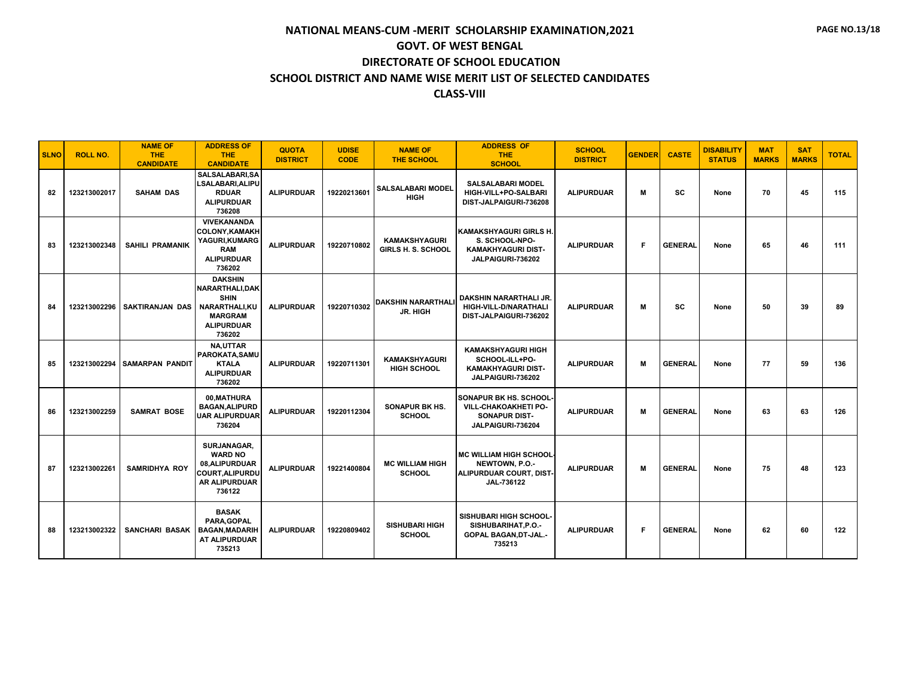| <b>SLNO</b> | <b>ROLL NO.</b> | <b>NAME OF</b><br><b>THE</b><br><b>CANDIDATE</b> | <b>ADDRESS OF</b><br><b>THE</b><br><b>CANDIDATE</b>                                                                | <b>QUOTA</b><br><b>DISTRICT</b> | <b>UDISE</b><br><b>CODE</b> | <b>NAME OF</b><br><b>THE SCHOOL</b>               | <b>ADDRESS OF</b><br><b>THE</b><br><b>SCHOOL</b>                                                          | <b>SCHOOL</b><br><b>DISTRICT</b> | <b>GENDER</b> | <b>CASTE</b>   | <b>DISABILITY</b><br><b>STATUS</b> | <b>MAT</b><br><b>MARKS</b> | <b>SAT</b><br><b>MARKS</b> | <b>TOTAL</b> |
|-------------|-----------------|--------------------------------------------------|--------------------------------------------------------------------------------------------------------------------|---------------------------------|-----------------------------|---------------------------------------------------|-----------------------------------------------------------------------------------------------------------|----------------------------------|---------------|----------------|------------------------------------|----------------------------|----------------------------|--------------|
| 82          | 123213002017    | <b>SAHAM DAS</b>                                 | SALSALABARI, SA<br>LSALABARI, ALIPU<br><b>RDUAR</b><br><b>ALIPURDUAR</b><br>736208                                 | <b>ALIPURDUAR</b>               | 19220213601                 | <b>SALSALABARI MODEL</b><br><b>HIGH</b>           | <b>SALSALABARI MODEL</b><br>HIGH-VILL+PO-SALBARI<br>DIST-JALPAIGURI-736208                                | <b>ALIPURDUAR</b>                | M             | <b>SC</b>      | None                               | 70                         | 45                         | 115          |
| 83          | 123213002348    | <b>SAHILI PRAMANIK</b>                           | <b>VIVEKANANDA</b><br><b>COLONY, KAMAKH</b><br>YAGURI, KUMARG<br><b>RAM</b><br><b>ALIPURDUAR</b><br>736202         | <b>ALIPURDUAR</b>               | 19220710802                 | <b>KAMAKSHYAGURI</b><br><b>GIRLS H. S. SCHOOL</b> | KAMAKSHYAGURI GIRLS H.<br>S. SCHOOL-NPO-<br><b>KAMAKHYAGURI DIST-</b><br>JALPAIGURI-736202                | <b>ALIPURDUAR</b>                | F             | <b>GENERAL</b> | None                               | 65                         | 46                         | 111          |
| 84          | 123213002296    | SAKTIRANJAN DAS                                  | <b>DAKSHIN</b><br>NARARTHALI.DAK<br><b>SHIN</b><br>NARARTHALI, KU<br><b>MARGRAM</b><br><b>ALIPURDUAR</b><br>736202 | <b>ALIPURDUAR</b>               | 19220710302                 | <b>DAKSHIN NARARTHALI</b><br>JR. HIGH             | DAKSHIN NARARTHALI JR.<br>HIGH-VILL-D/NARATHALI<br>DIST-JALPAIGURI-736202                                 | <b>ALIPURDUAR</b>                | M             | <b>SC</b>      | None                               | 50                         | 39                         | 89           |
| 85          | 123213002294    | <b>SAMARPAN PANDIT</b>                           | NA,UTTAR<br>PAROKATA.SAMU<br><b>KTALA</b><br><b>ALIPURDUAR</b><br>736202                                           | <b>ALIPURDUAR</b>               | 19220711301                 | <b>KAMAKSHYAGURI</b><br><b>HIGH SCHOOL</b>        | <b>KAMAKSHYAGURI HIGH</b><br>SCHOOL-ILL+PO-<br><b>KAMAKHYAGURI DIST-</b><br>JALPAIGURI-736202             | <b>ALIPURDUAR</b>                | M             | <b>GENERAL</b> | None                               | 77                         | 59                         | 136          |
| 86          | 123213002259    | <b>SAMRAT BOSE</b>                               | 00.MATHURA<br><b>BAGAN, ALIPURD</b><br><b>UAR ALIPURDUAR</b><br>736204                                             | <b>ALIPURDUAR</b>               | 19220112304                 | <b>SONAPUR BK HS.</b><br><b>SCHOOL</b>            | <b>SONAPUR BK HS. SCHOOL-</b><br><b>VILL-CHAKOAKHETI PO-</b><br><b>SONAPUR DIST-</b><br>JALPAIGURI-736204 | <b>ALIPURDUAR</b>                | M             | <b>GENERAL</b> | None                               | 63                         | 63                         | 126          |
| 87          | 123213002261    | <b>SAMRIDHYA ROY</b>                             | SURJANAGAR,<br><b>WARD NO</b><br>08.ALIPURDUAR<br><b>COURT.ALIPURDU</b><br><b>AR ALIPURDUAR</b><br>736122          | <b>ALIPURDUAR</b>               | 19221400804                 | <b>MC WILLIAM HIGH</b><br><b>SCHOOL</b>           | <b>MC WILLIAM HIGH SCHOOL</b><br>NEWTOWN, P.O.-<br>ALIPURDUAR COURT, DIST-<br>JAL-736122                  | <b>ALIPURDUAR</b>                | M             | <b>GENERAL</b> | None                               | 75                         | 48                         | 123          |
| 88          | 123213002322    | SANCHARI BASAK                                   | <b>BASAK</b><br>PARA, GOPAL<br><b>BAGAN, MADARIH</b><br>AT ALIPURDUAR<br>735213                                    | <b>ALIPURDUAR</b>               | 19220809402                 | <b>SISHUBARI HIGH</b><br><b>SCHOOL</b>            | <b>SISHUBARI HIGH SCHOOL-</b><br>SISHUBARIHAT, P.O.-<br><b>GOPAL BAGAN, DT-JAL.-</b><br>735213            | <b>ALIPURDUAR</b>                | F             | <b>GENERAL</b> | None                               | 62                         | 60                         | 122          |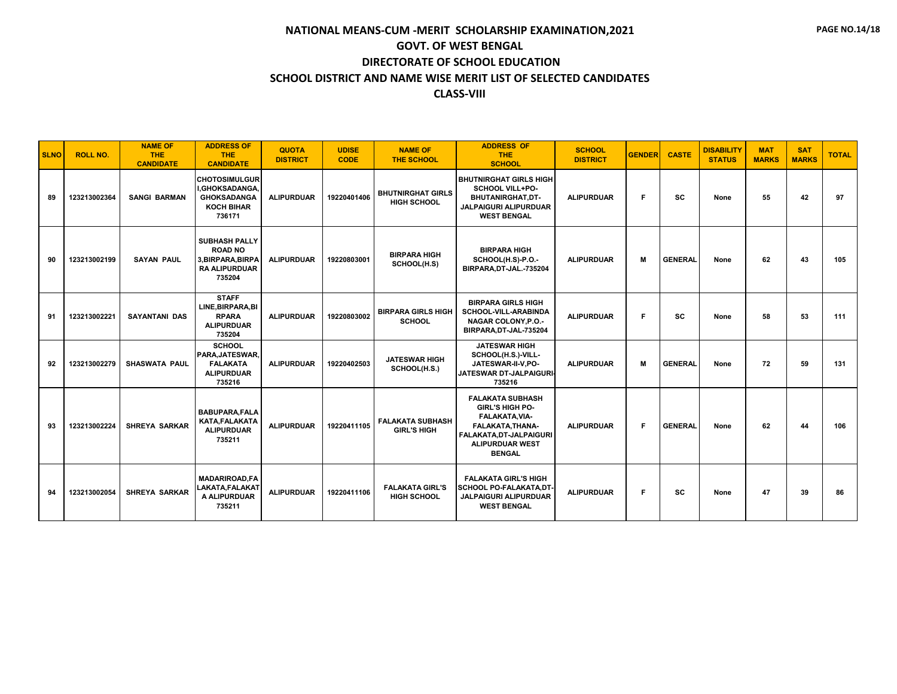| <b>SLNO</b> | <b>ROLL NO.</b> | <b>NAME OF</b><br><b>THE</b><br><b>CANDIDATE</b> | <b>ADDRESS OF</b><br><b>THE</b><br><b>CANDIDATE</b>                                         | <b>QUOTA</b><br><b>DISTRICT</b> | <b>UDISE</b><br><b>CODE</b> | <b>NAME OF</b><br><b>THE SCHOOL</b>            | <b>ADDRESS OF</b><br>THE.<br><b>SCHOOL</b>                                                                                                                         | <b>SCHOOL</b><br><b>DISTRICT</b> | <b>GENDER</b> | <b>CASTE</b>   | <b>DISABILITY</b><br><b>STATUS</b> | <b>MAT</b><br><b>MARKS</b> | <b>SAT</b><br><b>MARKS</b> | <b>TOTAL</b> |
|-------------|-----------------|--------------------------------------------------|---------------------------------------------------------------------------------------------|---------------------------------|-----------------------------|------------------------------------------------|--------------------------------------------------------------------------------------------------------------------------------------------------------------------|----------------------------------|---------------|----------------|------------------------------------|----------------------------|----------------------------|--------------|
| 89          | 123213002364    | <b>SANGI BARMAN</b>                              | <b>CHOTOSIMULGUR</b><br>I.GHOKSADANGA.<br><b>GHOKSADANGA</b><br><b>KOCH BIHAR</b><br>736171 | <b>ALIPURDUAR</b>               | 19220401406                 | <b>BHUTNIRGHAT GIRLS</b><br><b>HIGH SCHOOL</b> | <b>BHUTNIRGHAT GIRLS HIGH</b><br><b>SCHOOL VILL+PO-</b><br><b>BHUTANIRGHAT.DT-</b><br>JALPAIGURI ALIPURDUAR<br><b>WEST BENGAL</b>                                  | <b>ALIPURDUAR</b>                | E             | <b>SC</b>      | None                               | 55                         | 42                         | 97           |
| 90          | 123213002199    | <b>SAYAN PAUL</b>                                | <b>SUBHASH PALLY</b><br><b>ROAD NO</b><br>3.BIRPARA.BIRPA<br><b>RA ALIPURDUAR</b><br>735204 | <b>ALIPURDUAR</b>               | 19220803001                 | <b>BIRPARA HIGH</b><br>SCHOOL(H.S)             | <b>BIRPARA HIGH</b><br>SCHOOL(H.S)-P.O.-<br>BIRPARA, DT-JAL.-735204                                                                                                | <b>ALIPURDUAR</b>                | M             | <b>GENERAL</b> | None                               | 62                         | 43                         | 105          |
| 91          | 123213002221    | <b>SAYANTANI DAS</b>                             | <b>STAFF</b><br>LINE, BIRPARA, BI<br><b>RPARA</b><br><b>ALIPURDUAR</b><br>735204            | <b>ALIPURDUAR</b>               | 19220803002                 | <b>BIRPARA GIRLS HIGH</b><br><b>SCHOOL</b>     | <b>BIRPARA GIRLS HIGH</b><br>SCHOOL-VILL-ARABINDA<br><b>NAGAR COLONY, P.O.-</b><br>BIRPARA, DT-JAL-735204                                                          | <b>ALIPURDUAR</b>                | E             | <b>SC</b>      | None                               | 58                         | 53                         | 111          |
| 92          | 123213002279    | <b>SHASWATA PAUL</b>                             | <b>SCHOOL</b><br>PARA, JATESWAR,<br><b>FALAKATA</b><br><b>ALIPURDUAR</b><br>735216          | <b>ALIPURDUAR</b>               | 19220402503                 | <b>JATESWAR HIGH</b><br>SCHOOL(H.S.)           | <b>JATESWAR HIGH</b><br>SCHOOL(H.S.)-VILL-<br>JATESWAR-II-V.PO-<br>JATESWAR DT-JALPAIGURI-<br>735216                                                               | <b>ALIPURDUAR</b>                | M             | <b>GENERAL</b> | None                               | 72                         | 59                         | 131          |
| 93          | 123213002224    | <b>SHREYA SARKAR</b>                             | <b>BABUPARA.FALA</b><br><b>KATA.FALAKATA</b><br><b>ALIPURDUAR</b><br>735211                 | <b>ALIPURDUAR</b>               | 19220411105                 | <b>FALAKATA SUBHASH</b><br><b>GIRL'S HIGH</b>  | <b>FALAKATA SUBHASH</b><br><b>GIRL'S HIGH PO-</b><br>FALAKATA, VIA-<br>FALAKATA.THANA-<br><b>FALAKATA,DT-JALPAIGURI</b><br><b>ALIPURDUAR WEST</b><br><b>BENGAL</b> | <b>ALIPURDUAR</b>                | F             | <b>GENERAL</b> | None                               | 62                         | 44                         | 106          |
| 94          | 123213002054    | <b>SHREYA SARKAR</b>                             | <b>MADARIROAD.FA</b><br>LAKATA, FALAKAT<br>A ALIPURDUAR<br>735211                           | <b>ALIPURDUAR</b>               | 19220411106                 | <b>FALAKATA GIRL'S</b><br><b>HIGH SCHOOL</b>   | <b>FALAKATA GIRL'S HIGH</b><br><b>SCHOOL PO-FALAKATA.DT-</b><br><b>JALPAIGURI ALIPURDUAR</b><br><b>WEST BENGAL</b>                                                 | <b>ALIPURDUAR</b>                | F             | <b>SC</b>      | None                               | 47                         | 39                         | 86           |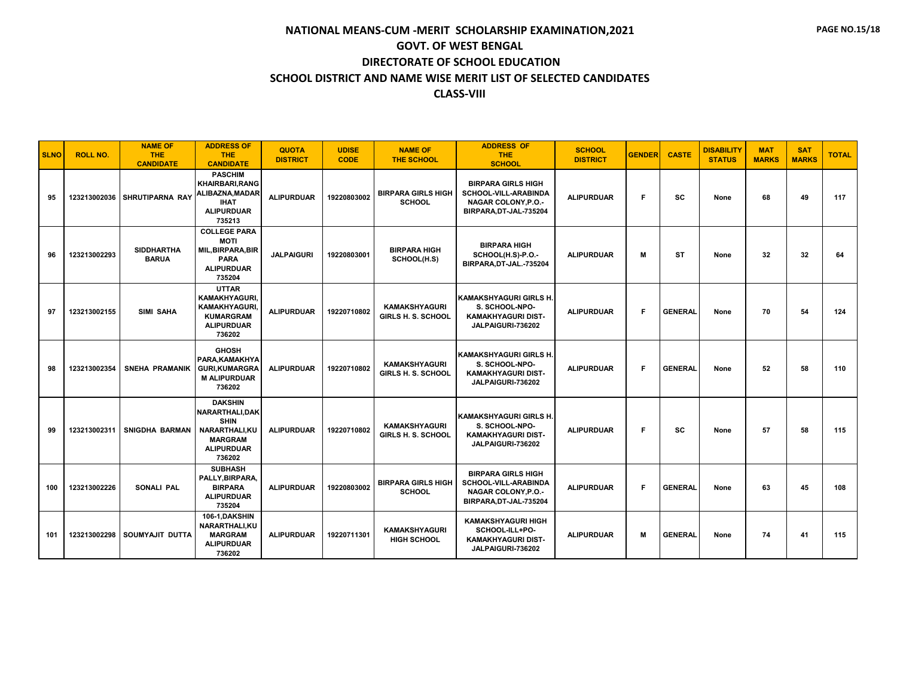| <b>SLNO</b> | <b>ROLL NO.</b> | <b>NAME OF</b><br><b>THE</b><br><b>CANDIDATE</b> | <b>ADDRESS OF</b><br><b>THE</b><br><b>CANDIDATE</b>                                                                | <b>QUOTA</b><br><b>DISTRICT</b> | <b>UDISE</b><br><b>CODE</b> | <b>NAME OF</b><br><b>THE SCHOOL</b>        | <b>ADDRESS OF</b><br>THE.<br><b>SCHOOL</b>                                                                       | <b>SCHOOL</b><br><b>DISTRICT</b> | <b>GENDER</b> | <b>CASTE</b>   | <b>DISABILITY</b><br><b>STATUS</b> | <b>MAT</b><br><b>MARKS</b> | <b>SAT</b><br><b>MARKS</b> | <b>TOTAL</b> |
|-------------|-----------------|--------------------------------------------------|--------------------------------------------------------------------------------------------------------------------|---------------------------------|-----------------------------|--------------------------------------------|------------------------------------------------------------------------------------------------------------------|----------------------------------|---------------|----------------|------------------------------------|----------------------------|----------------------------|--------------|
| 95          | 123213002036    | <b>SHRUTIPARNA RAY</b>                           | <b>PASCHIM</b><br><b>KHAIRBARI.RANG</b><br>ALIBAZNA, MADAR<br><b>IHAT</b><br><b>ALIPURDUAR</b><br>735213           | <b>ALIPURDUAR</b>               | 19220803002                 | <b>BIRPARA GIRLS HIGH</b><br><b>SCHOOL</b> | <b>BIRPARA GIRLS HIGH</b><br>SCHOOL-VILL-ARABINDA<br><b>NAGAR COLONY, P.O.-</b><br>BIRPARA, DT-JAL-735204        | <b>ALIPURDUAR</b>                | F             | SC             | None                               | 68                         | 49                         | 117          |
| 96          | 123213002293    | <b>SIDDHARTHA</b><br><b>BARUA</b>                | <b>COLLEGE PARA</b><br><b>MOTI</b><br><b>MIL, BIRPARA, BIR</b><br><b>PARA</b><br><b>ALIPURDUAR</b><br>735204       | <b>JALPAIGURI</b>               | 19220803001                 | <b>BIRPARA HIGH</b><br>SCHOOL(H.S)         | <b>BIRPARA HIGH</b><br>SCHOOL(H.S)-P.O.-<br>BIRPARA.DT-JAL.-735204                                               | <b>ALIPURDUAR</b>                | M             | <b>ST</b>      | None                               | 32                         | 32                         | 64           |
| 97          | 123213002155    | SIMI SAHA                                        | <b>UTTAR</b><br>KAMAKHYAGURI,<br><b>KAMAKHYAGURI,</b><br><b>KUMARGRAM</b><br><b>ALIPURDUAR</b><br>736202           | <b>ALIPURDUAR</b>               | 19220710802                 | <b>KAMAKSHYAGURI</b><br>GIRLS H. S. SCHOOL | İKAMAKSHYAGURI GIRLS H.<br>S. SCHOOL-NPO-<br><b>KAMAKHYAGURI DIST-</b><br>JALPAIGURI-736202                      | <b>ALIPURDUAR</b>                | F             | <b>GENERAL</b> | None                               | 70                         | 54                         | 124          |
| 98          | 123213002354    | <b>SNEHA PRAMANIK</b>                            | <b>GHOSH</b><br>PARA, KAMAKHYA<br><b>GURI, KUMARGRA</b><br><b>M ALIPURDUAR</b><br>736202                           | <b>ALIPURDUAR</b>               | 19220710802                 | <b>KAMAKSHYAGURI</b><br>GIRLS H. S. SCHOOL | <b>KAMAKSHYAGURI GIRLS H.</b><br>S. SCHOOL-NPO-<br><b>KAMAKHYAGURI DIST-</b><br>JALPAIGURI-736202                | <b>ALIPURDUAR</b>                | F             | <b>GENERAL</b> | None                               | 52                         | 58                         | 110          |
| 99          | 123213002311    | SNIGDHA BARMAN                                   | <b>DAKSHIN</b><br>NARARTHALI.DAK<br><b>SHIN</b><br>NARARTHALI, KU<br><b>MARGRAM</b><br><b>ALIPURDUAR</b><br>736202 | <b>ALIPURDUAR</b>               | 19220710802                 | <b>KAMAKSHYAGURI</b><br>GIRLS H. S. SCHOOL | KAMAKSHYAGURI GIRLS H.<br>S. SCHOOL-NPO-<br>KAMAKHYAGURI DIST-<br>JALPAIGURI-736202                              | <b>ALIPURDUAR</b>                | F             | SC             | None                               | 57                         | 58                         | 115          |
| 100         | 123213002226    | <b>SONALI PAL</b>                                | <b>SUBHASH</b><br>PALLY.BIRPARA.<br><b>BIRPARA</b><br><b>ALIPURDUAR</b><br>735204                                  | <b>ALIPURDUAR</b>               | 19220803002                 | <b>BIRPARA GIRLS HIGH</b><br><b>SCHOOL</b> | <b>BIRPARA GIRLS HIGH</b><br><b>SCHOOL-VILL-ARABINDA</b><br><b>NAGAR COLONY, P.O.-</b><br>BIRPARA, DT-JAL-735204 | <b>ALIPURDUAR</b>                | F             | <b>GENERAL</b> | None                               | 63                         | 45                         | 108          |
| 101         | 123213002298    | SOUMYAJIT DUTTA                                  | 106-1.DAKSHIN<br>NARARTHALI, KU<br><b>MARGRAM</b><br><b>ALIPURDUAR</b><br>736202                                   | <b>ALIPURDUAR</b>               | 19220711301                 | <b>KAMAKSHYAGURI</b><br><b>HIGH SCHOOL</b> | <b>KAMAKSHYAGURI HIGH</b><br>SCHOOL-ILL+PO-<br>KAMAKHYAGURI DIST-<br>JALPAIGURI-736202                           | <b>ALIPURDUAR</b>                | М             | <b>GENERAL</b> | None                               | 74                         | 41                         | 115          |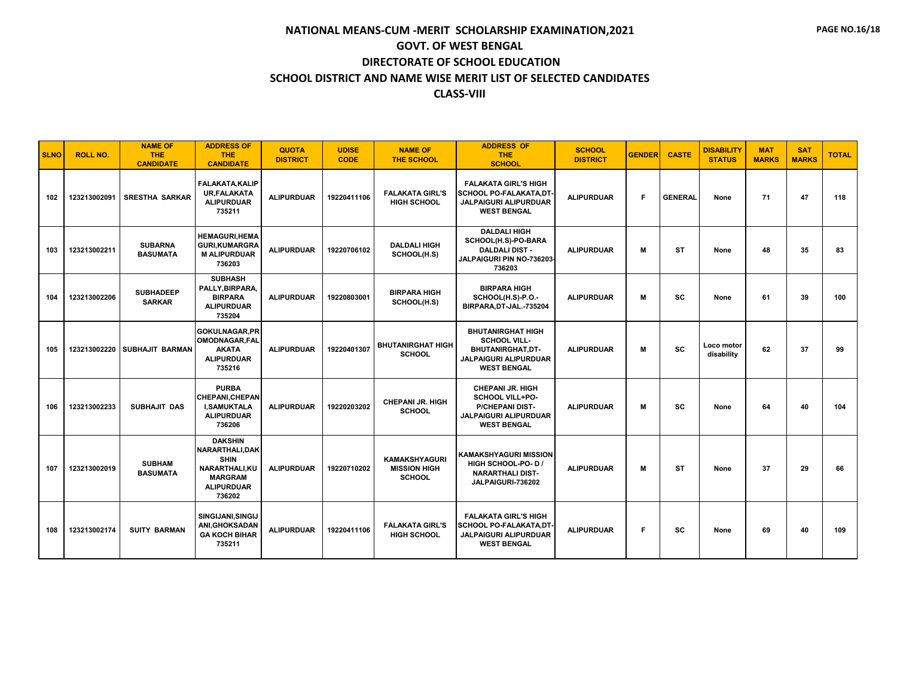| <b>SLNO</b> | <b>ROLL NO.</b> | <b>NAME OF</b><br><b>THE</b><br><b>CANDIDATE</b> | <b>ADDRESS OF</b><br><b>THE</b><br><b>CANDIDATE</b>                                                                       | <b>QUOTA</b><br><b>DISTRICT</b> | <b>UDISE</b><br><b>CODE</b> | <b>NAME OF</b><br><b>THE SCHOOL</b>                          | <b>ADDRESS OF</b><br>THE.<br><b>SCHOOL</b>                                                                                        | <b>SCHOOL</b><br><b>DISTRICT</b> | <b>GENDER</b> | <b>CASTE</b>   | <b>DISABILITY</b><br><b>STATUS</b> | <b>MAT</b><br><b>MARKS</b> | <b>SAT</b><br><b>MARKS</b> | <b>TOTAL</b> |
|-------------|-----------------|--------------------------------------------------|---------------------------------------------------------------------------------------------------------------------------|---------------------------------|-----------------------------|--------------------------------------------------------------|-----------------------------------------------------------------------------------------------------------------------------------|----------------------------------|---------------|----------------|------------------------------------|----------------------------|----------------------------|--------------|
| 102         | 123213002091    | <b>SRESTHA SARKAR</b>                            | <b>FALAKATA.KALIP</b><br><b>UR.FALAKATA</b><br><b>ALIPURDUAR</b><br>735211                                                | <b>ALIPURDUAR</b>               | 19220411106                 | <b>FALAKATA GIRL'S</b><br><b>HIGH SCHOOL</b>                 | <b>FALAKATA GIRL'S HIGH</b><br><b>SCHOOL PO-FALAKATA.DT</b><br>JALPAIGURI ALIPURDUAR<br><b>WEST BENGAL</b>                        | <b>ALIPURDUAR</b>                | F             | <b>GENERAL</b> | None                               | 71                         | 47                         | 118          |
| 103         | 123213002211    | <b>SUBARNA</b><br><b>BASUMATA</b>                | <b>HEMAGURI, HEMA</b><br><b>GURI,KUMARGRA</b><br><b>M ALIPURDUAR</b><br>736203                                            | <b>ALIPURDUAR</b>               | 19220706102                 | <b>DALDALI HIGH</b><br>SCHOOL(H.S)                           | <b>DALDALI HIGH</b><br>SCHOOL(H.S)-PO-BARA<br><b>DALDALI DIST -</b><br>JALPAIGURI PIN NO-736203<br>736203                         | <b>ALIPURDUAR</b>                | M             | <b>ST</b>      | None                               | 48                         | 35                         | 83           |
| 104         | 123213002206    | <b>SUBHADEEP</b><br><b>SARKAR</b>                | <b>SUBHASH</b><br>PALLY.BIRPARA.<br><b>BIRPARA</b><br><b>ALIPURDUAR</b><br>735204                                         | <b>ALIPURDUAR</b>               | 19220803001                 | <b>BIRPARA HIGH</b><br>SCHOOL(H.S)                           | <b>BIRPARA HIGH</b><br>SCHOOL(H.S)-P.O.-<br>BIRPARA.DT-JAL.-735204                                                                | <b>ALIPURDUAR</b>                | M             | SC             | None                               | 61                         | 39                         | 100          |
| 105         | 123213002220    | SUBHAJIT BARMAN                                  | <b>GOKULNAGAR.PR</b><br>OMODNAGAR, FAL<br><b>AKATA</b><br><b>ALIPURDUAR</b><br>735216                                     | <b>ALIPURDUAR</b>               | 19220401307                 | <b>BHUTANIRGHAT HIGH</b><br><b>SCHOOL</b>                    | <b>BHUTANIRGHAT HIGH</b><br><b>SCHOOL VILL-</b><br><b>BHUTANIRGHAT.DT-</b><br><b>JALPAIGURI ALIPURDUAR</b><br><b>WEST BENGAL</b>  | <b>ALIPURDUAR</b>                | M             | <b>SC</b>      | Loco motor<br>disability           | 62                         | 37                         | 99           |
| 106         | 123213002233    | SUBHAJIT DAS                                     | <b>PURBA</b><br><b>CHEPANI, CHEPAN</b><br><b>I.SAMUKTALA</b><br><b>ALIPURDUAR</b><br>736206                               | <b>ALIPURDUAR</b>               | 19220203202                 | <b>CHEPANI JR. HIGH</b><br><b>SCHOOL</b>                     | <b>CHEPANI JR. HIGH</b><br><b>SCHOOL VILL+PO-</b><br><b>P/CHEPANI DIST-</b><br><b>JALPAIGURI ALIPURDUAR</b><br><b>WEST BENGAL</b> | <b>ALIPURDUAR</b>                | M             | SC             | None                               | 64                         | 40                         | 104          |
| 107         | 123213002019    | <b>SUBHAM</b><br><b>BASUMATA</b>                 | <b>DAKSHIN</b><br>NARARTHALI, DAK<br><b>SHIN</b><br><b>NARARTHALI.KU</b><br><b>MARGRAM</b><br><b>ALIPURDUAR</b><br>736202 | <b>ALIPURDUAR</b>               | 19220710202                 | <b>KAMAKSHYAGURI</b><br><b>MISSION HIGH</b><br><b>SCHOOL</b> | KAMAKSHYAGURI MISSION<br>HIGH SCHOOL-PO-DI<br><b>NARARTHALI DIST-</b><br>JALPAIGURI-736202                                        | <b>ALIPURDUAR</b>                | M             | <b>ST</b>      | None                               | 37                         | 29                         | 66           |
| 108         | 123213002174    | <b>SUITY BARMAN</b>                              | SINGIJANI.SINGIJ<br>ANI,GHOKSADAN<br><b>GA KOCH BIHAR</b><br>735211                                                       | <b>ALIPURDUAR</b>               | 19220411106                 | <b>FALAKATA GIRL'S</b><br><b>HIGH SCHOOL</b>                 | <b>FALAKATA GIRL'S HIGH</b><br><b>SCHOOL PO-FALAKATA,DT-</b><br><b>JALPAIGURI ALIPURDUAR</b><br><b>WEST BENGAL</b>                | <b>ALIPURDUAR</b>                | F             | SC             | None                               | 69                         | 40                         | 109          |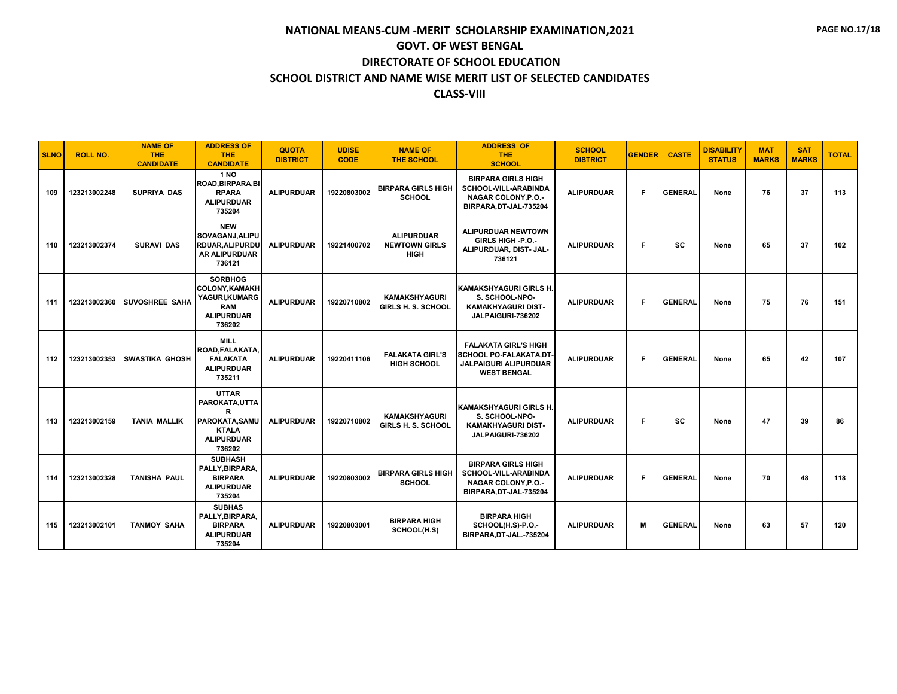| <b>SLNO</b> | <b>ROLL NO.</b> | <b>NAME OF</b><br><b>THE</b><br><b>CANDIDATE</b> | <b>ADDRESS OF</b><br><b>THE</b><br><b>CANDIDATE</b>                                                             | <b>QUOTA</b><br><b>DISTRICT</b> | <b>UDISE</b><br><b>CODE</b> | <b>NAME OF</b><br><b>THE SCHOOL</b>                      | <b>ADDRESS OF</b><br><b>THE</b><br><b>SCHOOL</b>                                                                  | <b>SCHOOL</b><br><b>DISTRICT</b> | <b>GENDER</b> | <b>CASTE</b>   | <b>DISABILITY</b><br><b>STATUS</b> | <b>MAT</b><br><b>MARKS</b> | <b>SAT</b><br><b>MARKS</b> | <b>TOTAL</b> |
|-------------|-----------------|--------------------------------------------------|-----------------------------------------------------------------------------------------------------------------|---------------------------------|-----------------------------|----------------------------------------------------------|-------------------------------------------------------------------------------------------------------------------|----------------------------------|---------------|----------------|------------------------------------|----------------------------|----------------------------|--------------|
| 109         | 123213002248    | <b>SUPRIYA DAS</b>                               | <b>1 NO</b><br>ROAD, BIRPARA, BI<br><b>RPARA</b><br><b>ALIPURDUAR</b><br>735204                                 | <b>ALIPURDUAR</b>               | 19220803002                 | <b>BIRPARA GIRLS HIGH</b><br><b>SCHOOL</b>               | <b>BIRPARA GIRLS HIGH</b><br><b>SCHOOL-VILL-ARABINDA</b><br><b>NAGAR COLONY.P.O.-</b><br>BIRPARA, DT-JAL-735204   | <b>ALIPURDUAR</b>                | F             | <b>GENERAL</b> | None                               | 76                         | 37                         | 113          |
| 110         | 123213002374    | <b>SURAVI DAS</b>                                | <b>NEW</b><br>SOVAGANJ, ALIPU<br>RDUAR.ALIPURDU<br><b>AR ALIPURDUAR</b><br>736121                               | <b>ALIPURDUAR</b>               | 19221400702                 | <b>ALIPURDUAR</b><br><b>NEWTOWN GIRLS</b><br><b>HIGH</b> | <b>ALIPURDUAR NEWTOWN</b><br>GIRLS HIGH -P.O.-<br>ALIPURDUAR, DIST- JAL-<br>736121                                | <b>ALIPURDUAR</b>                | F             | <b>SC</b>      | None                               | 65                         | 37                         | 102          |
| 111         | 123213002360    | <b>SUVOSHREE SAHA</b>                            | <b>SORBHOG</b><br><b>COLONY.KAMAKH</b><br>YAGURI, KUMARG<br><b>RAM</b><br><b>ALIPURDUAR</b><br>736202           | <b>ALIPURDUAR</b>               | 19220710802                 | <b>KAMAKSHYAGURI</b><br><b>GIRLS H. S. SCHOOL</b>        | KAMAKSHYAGURI GIRLS H.<br>S. SCHOOL-NPO-<br><b>KAMAKHYAGURI DIST-</b><br>JALPAIGURI-736202                        | <b>ALIPURDUAR</b>                | F.            | <b>GENERAL</b> | None                               | 75                         | 76                         | 151          |
| 112         | 123213002353    | <b>SWASTIKA GHOSH</b>                            | <b>MILL</b><br>ROAD, FALAKATA<br><b>FALAKATA</b><br><b>ALIPURDUAR</b><br>735211                                 | <b>ALIPURDUAR</b>               | 19220411106                 | <b>FALAKATA GIRL'S</b><br><b>HIGH SCHOOL</b>             | <b>FALAKATA GIRL'S HIGH</b><br><b>SCHOOL PO-FALAKATA.DT</b><br><b>JALPAIGURI ALIPURDUAR</b><br><b>WEST BENGAL</b> | <b>ALIPURDUAR</b>                | F             | <b>GENERAL</b> | None                               | 65                         | 42                         | 107          |
| 113         | 123213002159    | <b>TANIA MALLIK</b>                              | <b>UTTAR</b><br>PAROKATA, UTTA<br>$\mathbb{R}$<br>PAROKATA, SAMU<br><b>KTALA</b><br><b>ALIPURDUAR</b><br>736202 | <b>ALIPURDUAR</b>               | 19220710802                 | <b>KAMAKSHYAGURI</b><br>GIRLS H. S. SCHOOL               | <b>KAMAKSHYAGURI GIRLS H.</b><br>S. SCHOOL-NPO-<br><b>KAMAKHYAGURI DIST-</b><br>JALPAIGURI-736202                 | <b>ALIPURDUAR</b>                | Е             | <b>SC</b>      | None                               | 47                         | 39                         | 86           |
| 114         | 123213002328    | <b>TANISHA PAUL</b>                              | <b>SUBHASH</b><br>PALLY, BIRPARA,<br><b>BIRPARA</b><br><b>ALIPURDUAR</b><br>735204                              | <b>ALIPURDUAR</b>               | 19220803002                 | <b>BIRPARA GIRLS HIGH</b><br><b>SCHOOL</b>               | <b>BIRPARA GIRLS HIGH</b><br>SCHOOL-VILL-ARABINDA<br><b>NAGAR COLONY, P.O.-</b><br>BIRPARA, DT-JAL-735204         | <b>ALIPURDUAR</b>                | F             | <b>GENERAL</b> | None                               | 70                         | 48                         | 118          |
| 115         | 123213002101    | <b>TANMOY SAHA</b>                               | <b>SUBHAS</b><br>PALLY.BIRPARA.<br><b>BIRPARA</b><br><b>ALIPURDUAR</b><br>735204                                | <b>ALIPURDUAR</b>               | 19220803001                 | <b>BIRPARA HIGH</b><br>SCHOOL(H.S)                       | <b>BIRPARA HIGH</b><br>SCHOOL(H.S)-P.O.-<br>BIRPARA, DT-JAL.-735204                                               | <b>ALIPURDUAR</b>                | M             | <b>GENERAL</b> | None                               | 63                         | 57                         | 120          |